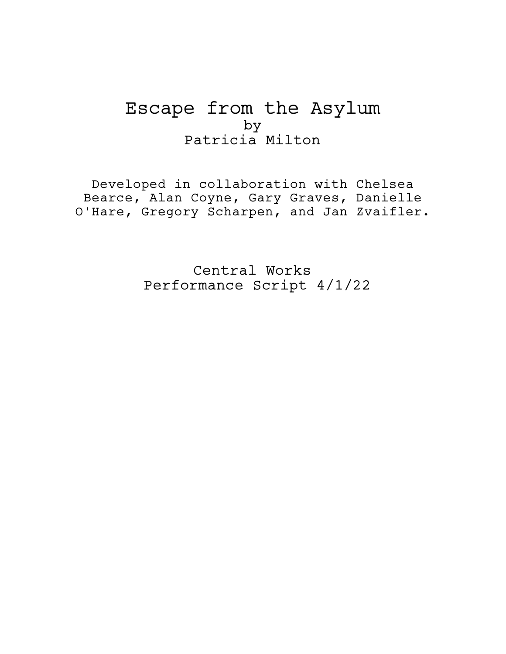# Escape from the Asylum by Patricia Milton

Developed in collaboration with Chelsea Bearce, Alan Coyne, Gary Graves, Danielle O'Hare, Gregory Scharpen, and Jan Zvaifler.

> Central Works Performance Script 4/1/22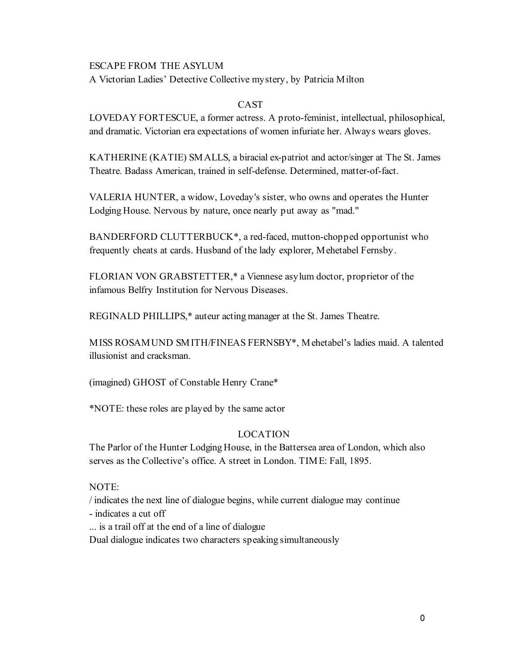# ESCAPE FROM THE ASYLUM

A Victorian Ladies' Detective Collective mystery, by Patricia Milton

# **CAST**

LOVEDAY FORTESCUE, a former actress. A proto-feminist, intellectual, philosophical, and dramatic. Victorian era expectations of women infuriate her. Always wears gloves.

KATHERINE (KATIE) SMALLS, a biracial ex-patriot and actor/singer at The St. James Theatre. Badass American, trained in self-defense. Determined, matter-of-fact.

VALERIA HUNTER, a widow, Loveday's sister, who owns and operates the Hunter Lodging House. Nervous by nature, once nearly put away as "mad."

BANDERFORD CLUTTERBUCK\*, a red-faced, mutton-chopped opportunist who frequently cheats at cards. Husband of the lady explorer, Mehetabel Fernsby.

FLORIAN VON GRABSTETTER,\* a Viennese asylum doctor, proprietor of the infamous Belfry Institution for Nervous Diseases.

REGINALD PHILLIPS,\* auteur acting manager at the St. James Theatre.

MISS ROSAMUND SMITH/FINEAS FERNSBY\*, Mehetabel's ladies maid. A talented illusionist and cracksman.

(imagined) GHOST of Constable Henry Crane\*

\*NOTE: these roles are played by the same actor

# LOCATION

The Parlor of the Hunter Lodging House, in the Battersea area of London, which also serves as the Collective's office. A street in London. TIME: Fall, 1895.

# NOTE:

/ indicates the next line of dialogue begins, while current dialogue may continue

- indicates a cut off

... is a trail off at the end of a line of dialogue

Dual dialogue indicates two characters speaking simultaneously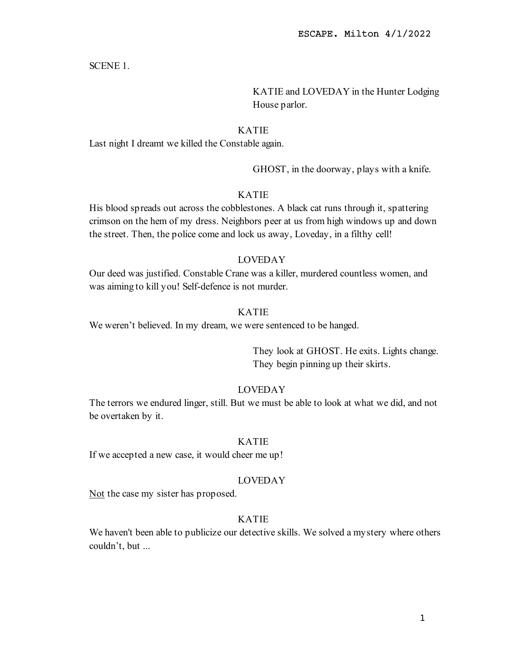SCENE 1.

KATIE and LOVEDAY in the Hunter Lodging House parlor.

## KATIE

Last night I dreamt we killed the Constable again.

GHOST, in the doorway, plays with a knife.

## KATIE

His blood spreads out across the cobblestones. A black cat runs through it, spattering crimson on the hem of my dress. Neighbors peer at us from high windows up and down the street. Then, the police come and lock us away, Loveday, in a filthy cell!

# LOVEDAY

Our deed was justified. Constable Crane was a killer, murdered countless women, and was aiming to kill you! Self-defence is not murder.

## KATIE

We weren't believed. In my dream, we were sentenced to be hanged.

They look at GHOST. He exits. Lights change. They begin pinning up their skirts.

#### LOVEDAY

The terrors we endured linger, still. But we must be able to look at what we did, and not be overtaken by it.

# KATIE

If we accepted a new case, it would cheer me up!

## LOVEDAY

Not the case my sister has proposed.

# KATIE

We haven't been able to publicize our detective skills. We solved a mystery where others couldn't, but ...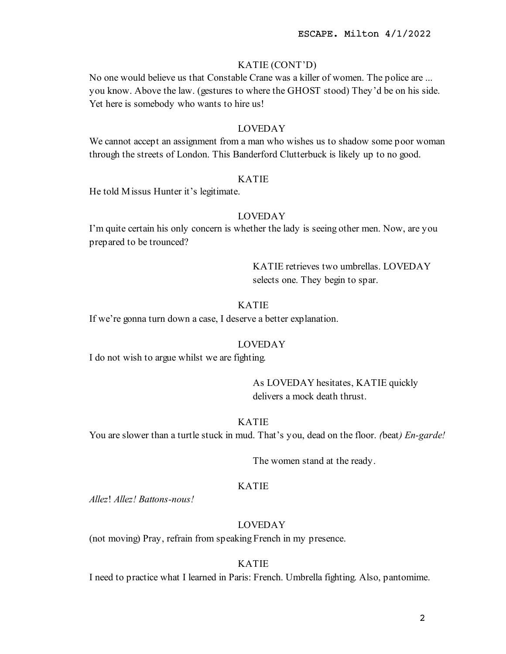# KATIE (CONT'D)

No one would believe us that Constable Crane was a killer of women. The police are ... you know. Above the law. (gestures to where the GHOST stood) They'd be on his side. Yet here is somebody who wants to hire us!

#### LOVEDAY

We cannot accept an assignment from a man who wishes us to shadow some poor woman through the streets of London. This Banderford Clutterbuck is likely up to no good.

# KATIE

He told Missus Hunter it's legitimate.

# LOVEDAY

I'm quite certain his only concern is whether the lady is seeing other men. Now, are you prepared to be trounced?

> KATIE retrieves two umbrellas. LOVEDAY selects one. They begin to spar.

# KATIE

If we're gonna turn down a case, I deserve a better explanation.

#### LOVEDAY

I do not wish to argue whilst we are fighting.

As LOVEDAY hesitates, KATIE quickly delivers a mock death thrust.

# KATIE

You are slower than a turtle stuck in mud. That's you, dead on the floor. (beat) *En-garde!* 

The women stand at the ready.

# KATIE

Allez! Allez! Battons-nous!

# LOVEDAY

(not moving) Pray, refrain from speaking French in my presence.

# KATIE

I need to practice what I learned in Paris: French. Umbrella fighting. Also, pantomime.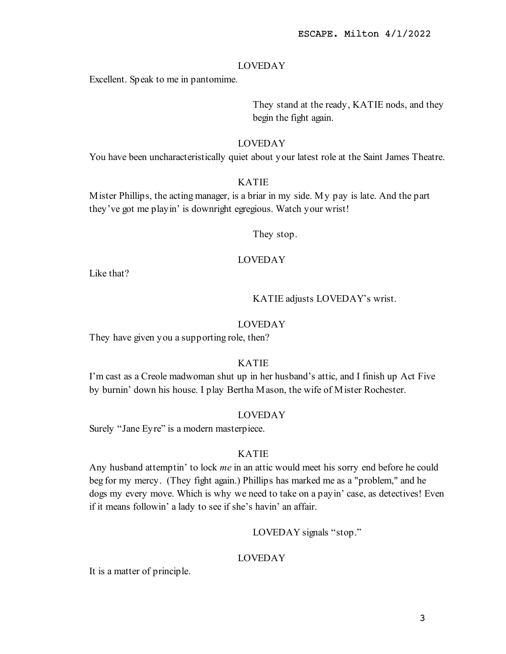Excellent. Speak to me in pantomime.

They stand at the ready, KATIE nods, and they begin the fight again.

# LOVEDAY

You have been uncharacteristically quiet about your latest role at the Saint James Theatre.

# KATIE

Mister Phillips, the acting manager, is a briar in my side. My pay is late. And the part they've got me playin' is downright egregious. Watch your wrist!

They stop.

# LOVEDAY

Like that?

KATIE adjusts LOVEDAY's wrist.

# LOVEDAY

They have given you a supporting role, then?

# KATIE

I'm cast as a Creole madwoman shut up in her husband's attic, and I finish up Act Five by burnin' down his house. I play Bertha Mason, the wife of Mister Rochester.

# LOVEDAY

Surely "Jane Eyre" is a modern masterpiece.

# KATIE

Any husband attemptin' to lock me in an attic would meet his sorry end before he could beg for my mercy. (They fight again.) Phillips has marked me as a "problem," and he dogs my every move. Which is why we need to take on a payin' case, as detectives! Even if it means followin' a lady to see if she's havin' an affair.

LOVEDAY signals "stop."

# LOVEDAY

It is a matter of principle.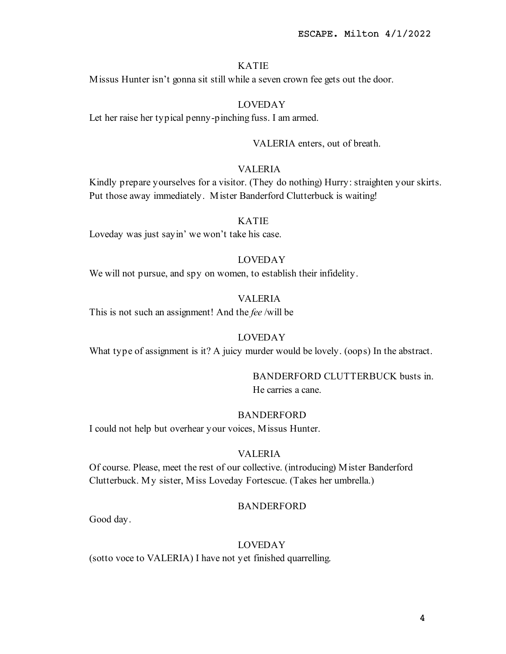Missus Hunter isn't gonna sit still while a seven crown fee gets out the door.

# LOVEDAY

Let her raise her typical penny-pinching fuss. I am armed.

VALERIA enters, out of breath.

# VALERIA

Kindly prepare yourselves for a visitor. (They do nothing) Hurry: straighten your skirts. Put those away immediately. Mister Banderford Clutterbuck is waiting!

## KATIE

Loveday was just sayin' we won't take his case.

# LOVEDAY

We will not pursue, and spy on women, to establish their infidelity.

#### VALERIA

This is not such an assignment! And the fee /will be

# LOVEDAY

What type of assignment is it? A juicy murder would be lovely. (oops) In the abstract.

# BANDERFORD CLUTTERBUCK busts in.

He carries a cane.

# BANDERFORD

I could not help but overhear your voices, Missus Hunter.

#### VALERIA

Of course. Please, meet the rest of our collective. (introducing) Mister Banderford Clutterbuck. My sister, Miss Loveday Fortescue. (Takes her umbrella.)

#### **BANDERFORD**

Good day.

# LOVEDAY

(sotto voce to VALERIA) I have not yet finished quarrelling.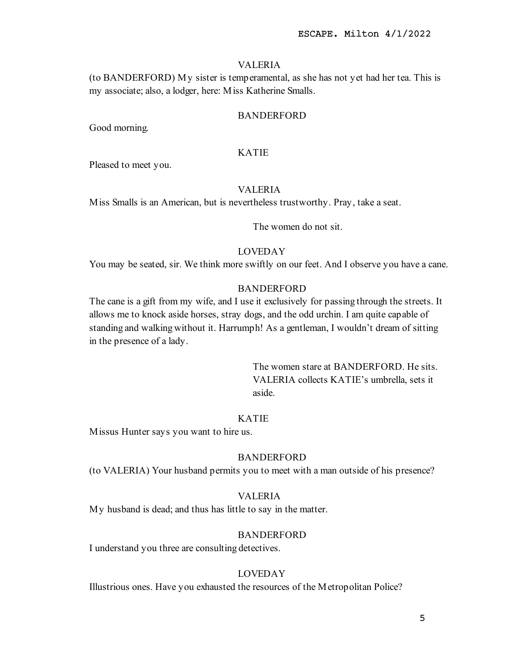## VALERIA

(to BANDERFORD) My sister is temperamental, as she has not yet had her tea. This is my associate; also, a lodger, here: Miss Katherine Smalls.

## BANDERFORD

Good morning.

## KATIE

Pleased to meet you.

#### VALERIA

Miss Smalls is an American, but is nevertheless trustworthy. Pray, take a seat.

The women do not sit.

# LOVEDAY

You may be seated, sir. We think more swiftly on our feet. And I observe you have a cane.

# BANDERFORD

The cane is a gift from my wife, and I use it exclusively for passing through the streets. It allows me to knock aside horses, stray dogs, and the odd urchin. I am quite capable of standing and walking without it. Harrumph! As a gentleman, I wouldn't dream of sitting in the presence of a lady.

> The women stare at BANDERFORD. He sits. VALERIA collects KATIE's umbrella, sets it aside.

## KATIE

Missus Hunter says you want to hire us.

# BANDERFORD

(to VALERIA) Your husband permits you to meet with a man outside of his presence?

# VALERIA

My husband is dead; and thus has little to say in the matter.

#### BANDERFORD

I understand you three are consulting detectives.

#### LOVEDAY

Illustrious ones. Have you exhausted the resources of the Metropolitan Police?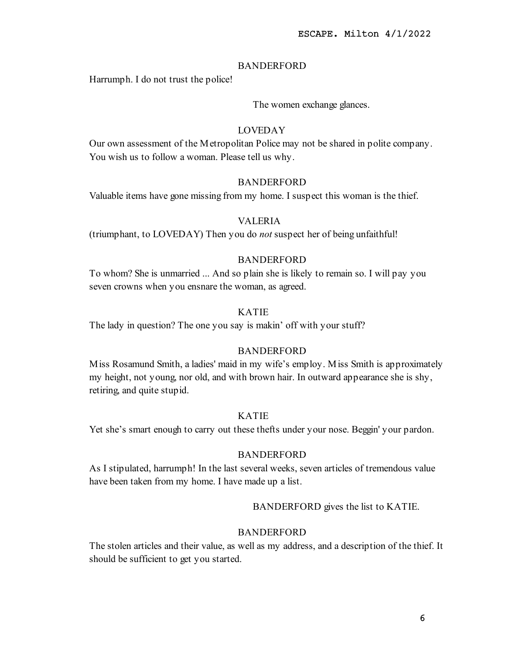# BANDERFORD

Harrumph. I do not trust the police!

The women exchange glances.

# LOVEDAY

Our own assessment of the Metropolitan Police may not be shared in polite company. You wish us to follow a woman. Please tell us why.

## BANDERFORD

Valuable items have gone missing from my home. I suspect this woman is the thief.

# VALERIA

(triumphant, to LOVEDAY) Then you do not suspect her of being unfaithful!

# BANDERFORD

To whom? She is unmarried ... And so plain she is likely to remain so. I will pay you seven crowns when you ensnare the woman, as agreed.

# KATIE

The lady in question? The one you say is makin' off with your stuff?

# BANDERFORD

Miss Rosamund Smith, a ladies' maid in my wife's employ. Miss Smith is approximately my height, not young, nor old, and with brown hair. In outward appearance she is shy, retiring, and quite stupid.

## KATIE

Yet she's smart enough to carry out these thefts under your nose. Beggin' your pardon.

## BANDERFORD

As I stipulated, harrumph! In the last several weeks, seven articles of tremendous value have been taken from my home. I have made up a list.

## BANDERFORD gives the list to KATIE.

# BANDERFORD

The stolen articles and their value, as well as my address, and a description of the thief. It should be sufficient to get you started.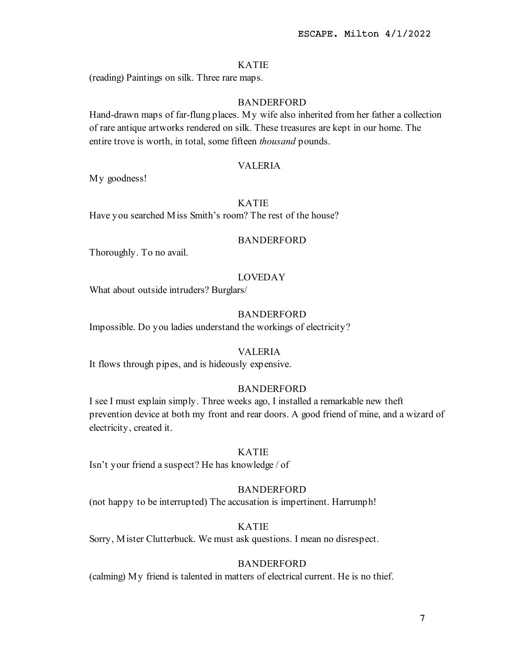(reading) Paintings on silk. Three rare maps.

# **BANDERFORD**

Hand-drawn maps of far-flung places. My wife also inherited from her father a collection of rare antique artworks rendered on silk. These treasures are kept in our home. The entire trove is worth, in total, some fifteen *thousand* pounds.

#### VALERIA

My goodness!

## KATIE

Have you searched Miss Smith's room? The rest of the house?

#### BANDERFORD

Thoroughly. To no avail.

#### LOVEDAY

What about outside intruders? Burglars/

# BANDERFORD

Impossible. Do you ladies understand the workings of electricity?

#### VALERIA

It flows through pipes, and is hideously expensive.

#### BANDERFORD

I see I must explain simply. Three weeks ago, I installed a remarkable new theft prevention device at both my front and rear doors. A good friend of mine, and a wizard of electricity, created it.

## KATIE

Isn't your friend a suspect? He has knowledge / of

#### BANDERFORD

(not happy to be interrupted) The accusation is impertinent. Harrumph!

# KATIE

Sorry, Mister Clutterbuck. We must ask questions. I mean no disrespect.

# BANDERFORD

(calming) My friend is talented in matters of electrical current. He is no thief.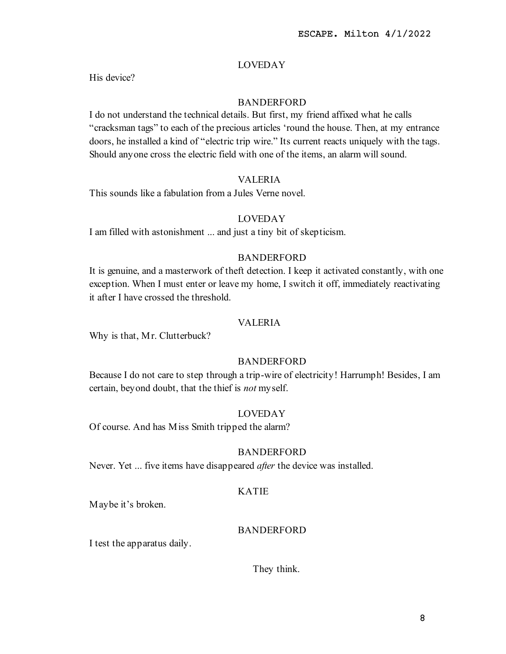His device?

# **BANDERFORD**

I do not understand the technical details. But first, my friend affixed what he calls "cracksman tags" to each of the precious articles 'round the house. Then, at my entrance doors, he installed a kind of "electric trip wire." Its current reacts uniquely with the tags. Should anyone cross the electric field with one of the items, an alarm will sound.

# VALERIA

This sounds like a fabulation from a Jules Verne novel.

# LOVEDAY

I am filled with astonishment ... and just a tiny bit of skepticism.

# BANDERFORD

It is genuine, and a masterwork of theft detection. I keep it activated constantly, with one exception. When I must enter or leave my home, I switch it off, immediately reactivating it after I have crossed the threshold.

# VALERIA

Why is that, Mr. Clutterbuck?

# BANDERFORD

Because I do not care to step through a trip-wire of electricity! Harrumph! Besides, I am certain, beyond doubt, that the thief is not myself.

# LOVEDAY

Of course. And has Miss Smith tripped the alarm?

## BANDERFORD

Never. Yet ... five items have disappeared *after* the device was installed.

# KATIE

Maybe it's broken.

# BANDERFORD

I test the apparatus daily.

They think.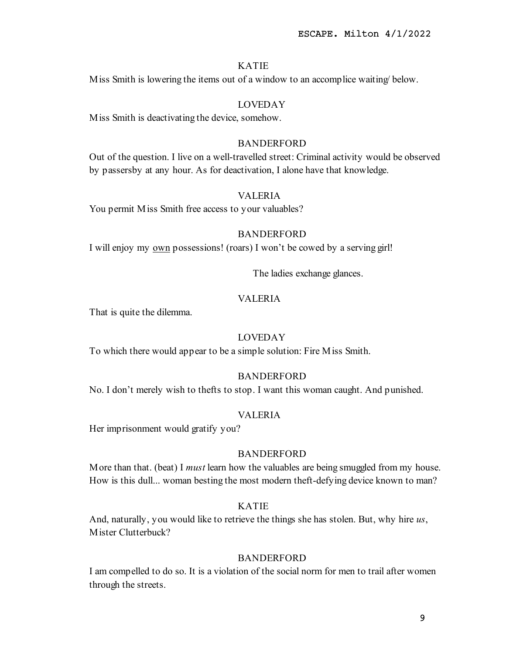Miss Smith is lowering the items out of a window to an accomplice waiting/ below.

# LOVEDAY

Miss Smith is deactivating the device, somehow.

## BANDERFORD

Out of the question. I live on a well-travelled street: Criminal activity would be observed by passersby at any hour. As for deactivation, I alone have that knowledge.

# VALERIA

You permit Miss Smith free access to your valuables?

#### BANDERFORD

I will enjoy my own possessions! (roars) I won't be cowed by a serving girl!

The ladies exchange glances.

# VALERIA

That is quite the dilemma.

# LOVEDAY

To which there would appear to be a simple solution: Fire Miss Smith.

# BANDERFORD

No. I don't merely wish to thefts to stop. I want this woman caught. And punished.

#### VALERIA

Her imprisonment would gratify you?

## **BANDERFORD**

More than that. (beat) I *must* learn how the valuables are being smuggled from my house. How is this dull... woman besting the most modern theft-defying device known to man?

## KATIE

And, naturally, you would like to retrieve the things she has stolen. But, why hire us, Mister Clutterbuck?

#### BANDERFORD

I am compelled to do so. It is a violation of the social norm for men to trail after women through the streets.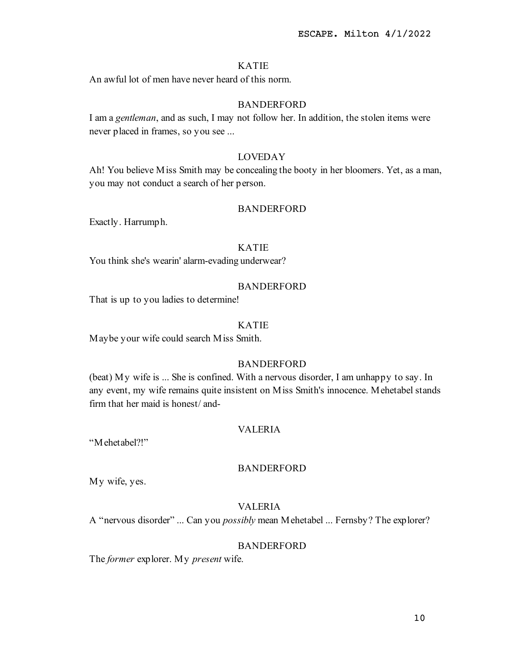An awful lot of men have never heard of this norm.

# BANDERFORD

I am a gentleman, and as such, I may not follow her. In addition, the stolen items were never placed in frames, so you see ...

# LOVEDAY

Ah! You believe Miss Smith may be concealing the booty in her bloomers. Yet, as a man, you may not conduct a search of her person.

#### BANDERFORD

Exactly. Harrumph.

# KATIE

You think she's wearin' alarm-evading underwear?

# BANDERFORD

That is up to you ladies to determine!

#### KATIE

Maybe your wife could search Miss Smith.

# BANDERFORD

(beat) My wife is ... She is confined. With a nervous disorder, I am unhappy to say. In any event, my wife remains quite insistent on Miss Smith's innocence. Mehetabel stands firm that her maid is honest/ and-

# VALERIA

"Mehetabel?!"

# BANDERFORD

My wife, yes.

# VALERIA

A "nervous disorder" ... Can you possibly mean Mehetabel ... Fernsby? The explorer?

# BANDERFORD

The *former* explorer. My *present* wife.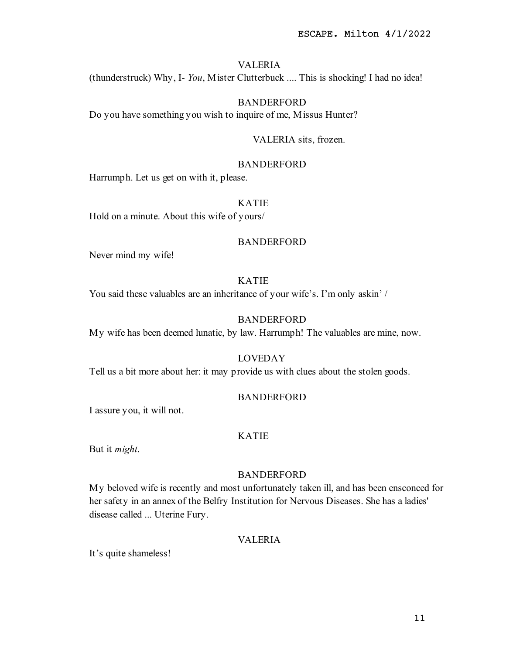## VALERIA

(thunderstruck) Why, I- You, Mister Clutterbuck .... This is shocking! I had no idea!

# BANDERFORD

Do you have something you wish to inquire of me, Missus Hunter?

#### VALERIA sits, frozen.

# BANDERFORD

Harrumph. Let us get on with it, please.

#### KATIE

Hold on a minute. About this wife of yours/

## BANDERFORD

Never mind my wife!

#### KATIE

You said these valuables are an inheritance of your wife's. I'm only askin' /

# BANDERFORD

My wife has been deemed lunatic, by law. Harrumph! The valuables are mine, now.

#### LOVEDAY

Tell us a bit more about her: it may provide us with clues about the stolen goods.

#### **BANDERFORD**

I assure you, it will not.

# KATIE

But it might.

# BANDERFORD

My beloved wife is recently and most unfortunately taken ill, and has been ensconced for her safety in an annex of the Belfry Institution for Nervous Diseases. She has a ladies' disease called ... Uterine Fury.

#### VALERIA

It's quite shameless!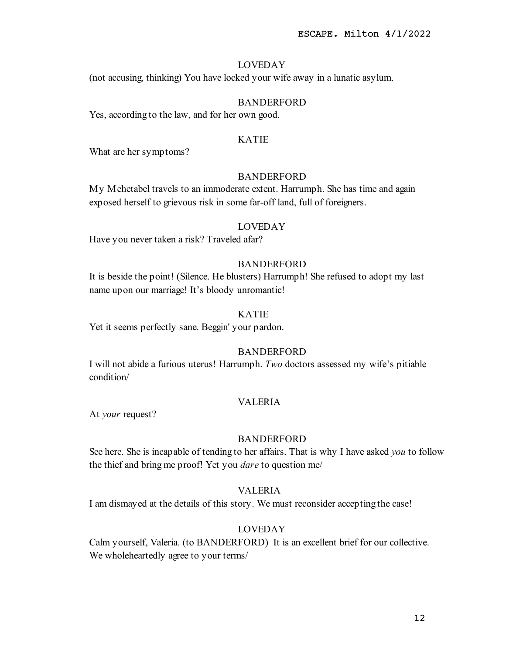(not accusing, thinking) You have locked your wife away in a lunatic asylum.

# BANDERFORD

Yes, according to the law, and for her own good.

#### KATIE

What are her symptoms?

## BANDERFORD

My Mehetabel travels to an immoderate extent. Harrumph. She has time and again exposed herself to grievous risk in some far-off land, full of foreigners.

# LOVEDAY

Have you never taken a risk? Traveled afar?

# BANDERFORD

It is beside the point! (Silence. He blusters) Harrumph! She refused to adopt my last name upon our marriage! It's bloody unromantic!

# KATIE

Yet it seems perfectly sane. Beggin' your pardon.

# BANDERFORD

I will not abide a furious uterus! Harrumph. Two doctors assessed my wife's pitiable condition/

## VALERIA

At your request?

#### BANDERFORD

See here. She is incapable of tending to her affairs. That is why I have asked you to follow the thief and bring me proof! Yet you dare to question me/

# VALERIA

I am dismayed at the details of this story. We must reconsider accepting the case!

## LOVEDAY

Calm yourself, Valeria. (to BANDERFORD) It is an excellent brief for our collective. We wholeheartedly agree to your terms/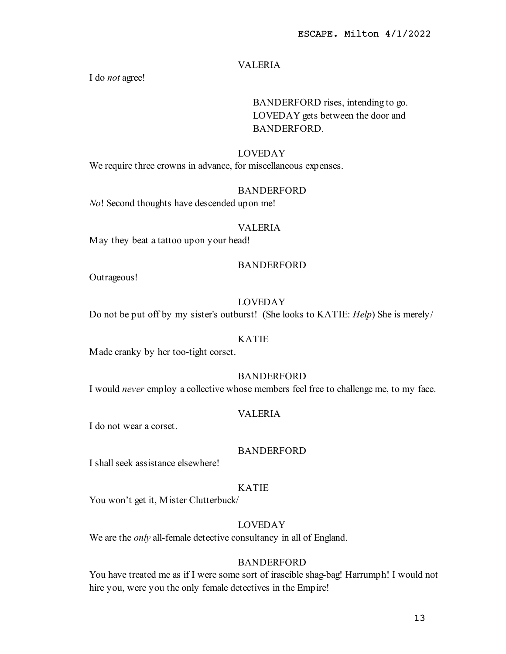# VALERIA

I do not agree!

# BANDERFORD rises, intending to go. LOVEDAY gets between the door and BANDERFORD.

## LOVEDAY

We require three crowns in advance, for miscellaneous expenses.

# BANDERFORD

No! Second thoughts have descended upon me!

#### VALERIA

May they beat a tattoo upon your head!

# **BANDERFORD**

Outrageous!

# LOVEDAY

Do not be put off by my sister's outburst! (She looks to KATIE: *Help*) She is merely/

#### KATIE

Made cranky by her too-tight corset.

## BANDERFORD

I would never employ a collective whose members feel free to challenge me, to my face.

# VALERIA

I do not wear a corset.

# BANDERFORD

I shall seek assistance elsewhere!

## KATIE

You won't get it, Mister Clutterbuck/

# LOVEDAY

We are the *only* all-female detective consultancy in all of England.

## BANDERFORD

You have treated me as if I were some sort of irascible shag-bag! Harrumph! I would not hire you, were you the only female detectives in the Empire!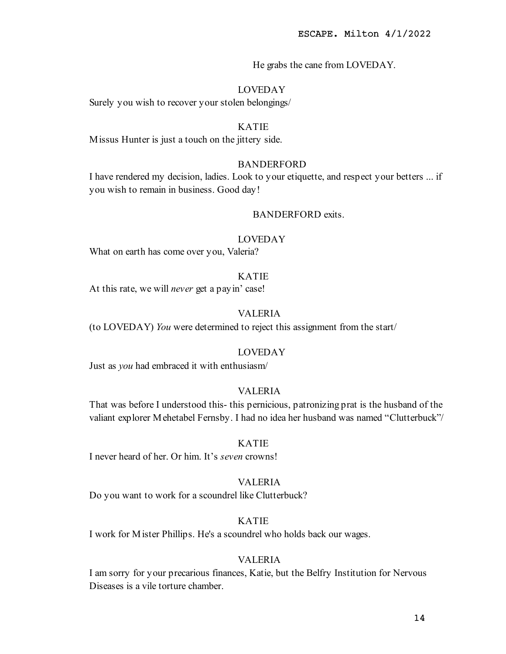He grabs the cane from LOVEDAY.

## LOVEDAY

Surely you wish to recover your stolen belongings/

# KATIE

Missus Hunter is just a touch on the jittery side.

# **BANDERFORD**

I have rendered my decision, ladies. Look to your etiquette, and respect your betters ... if you wish to remain in business. Good day!

#### BANDERFORD exits.

#### LOVEDAY

What on earth has come over you, Valeria?

#### KATIE

At this rate, we will *never* get a pay in' case!

# VALERIA

(to LOVEDAY) You were determined to reject this assignment from the start/

# LOVEDAY

Just as you had embraced it with enthusiasm/

# VALERIA

That was before I understood this- this pernicious, patronizing prat is the husband of the valiant explorer Mehetabel Fernsby. I had no idea her husband was named "Clutterbuck"/

#### KATIE

I never heard of her. Or him. It's seven crowns!

#### VALERIA

Do you want to work for a scoundrel like Clutterbuck?

## KATIE

I work for Mister Phillips. He's a scoundrel who holds back our wages.

## VALERIA

I am sorry for your precarious finances, Katie, but the Belfry Institution for Nervous Diseases is a vile torture chamber.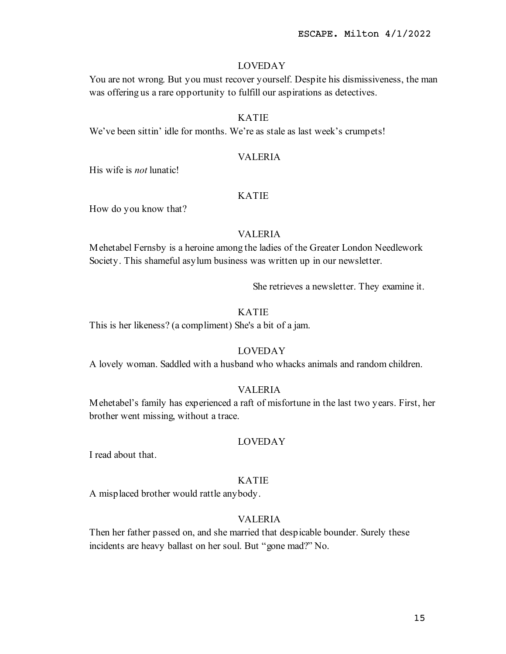You are not wrong. But you must recover yourself. Despite his dismissiveness, the man was offering us a rare opportunity to fulfill our aspirations as detectives.

# KATIE

We've been sittin' idle for months. We're as stale as last week's crumpets!

# VALERIA

His wife is not lunatic!

# KATIE

How do you know that?

# VALERIA

Mehetabel Fernsby is a heroine among the ladies of the Greater London Needlework Society. This shameful asylum business was written up in our newsletter.

She retrieves a newsletter. They examine it.

# KATIE

This is her likeness? (a compliment) She's a bit of a jam.

# LOVEDAY

A lovely woman. Saddled with a husband who whacks animals and random children.

# VALERIA

Mehetabel's family has experienced a raft of misfortune in the last two years. First, her brother went missing, without a trace.

# LOVEDAY

I read about that.

## KATIE

A misplaced brother would rattle anybody.

# VALERIA

Then her father passed on, and she married that despicable bounder. Surely these incidents are heavy ballast on her soul. But "gone mad?" No.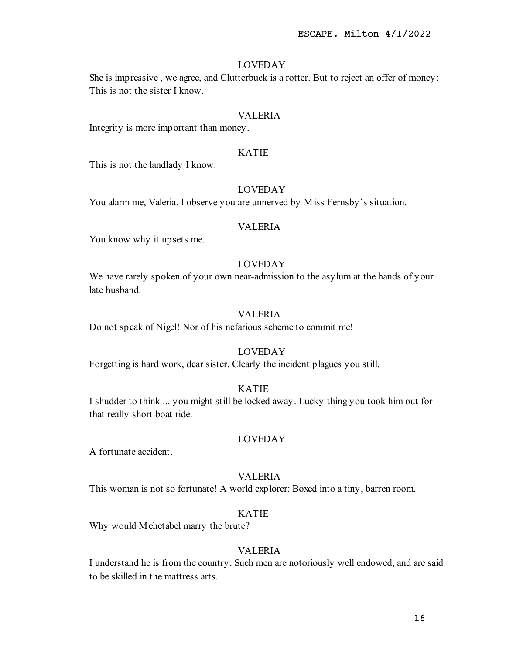She is impressive , we agree, and Clutterbuck is a rotter. But to reject an offer of money: This is not the sister I know.

#### VALERIA

Integrity is more important than money.

#### KATIE

This is not the landlady I know.

#### LOVEDAY

You alarm me, Valeria. I observe you are unnerved by Miss Fernsby's situation.

#### VALERIA

You know why it upsets me.

# LOVEDAY

We have rarely spoken of your own near-admission to the asylum at the hands of your late husband.

# VALERIA

Do not speak of Nigel! Nor of his nefarious scheme to commit me!

# LOVEDAY

Forgetting is hard work, dear sister. Clearly the incident plagues you still.

## KATIE

I shudder to think ... you might still be locked away. Lucky thing you took him out for that really short boat ride.

#### LOVEDAY

A fortunate accident.

#### VALERIA

This woman is not so fortunate! A world explorer: Boxed into a tiny, barren room.

# KATIE

Why would Mehetabel marry the brute?

# VALERIA

I understand he is from the country. Such men are notoriously well endowed, and are said to be skilled in the mattress arts.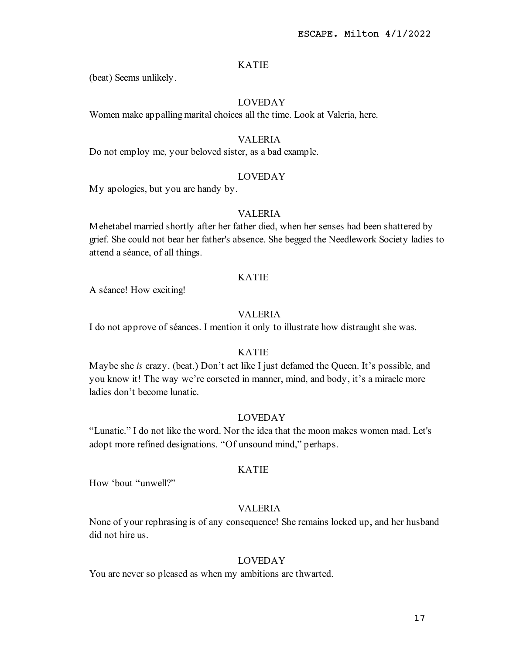(beat) Seems unlikely.

# LOVEDAY

Women make appalling marital choices all the time. Look at Valeria, here.

# VALERIA

Do not employ me, your beloved sister, as a bad example.

#### LOVEDAY

My apologies, but you are handy by.

# VALERIA

Mehetabel married shortly after her father died, when her senses had been shattered by grief. She could not bear her father's absence. She begged the Needlework Society ladies to attend a séance, of all things.

# KATIE

A séance! How exciting!

# VALERIA

I do not approve of séances. I mention it only to illustrate how distraught she was.

# KATIE

Maybe she is crazy. (beat.) Don't act like I just defamed the Queen. It's possible, and you know it! The way we're corseted in manner, mind, and body, it's a miracle more ladies don't become lunatic.

# LOVEDAY

"Lunatic." I do not like the word. Nor the idea that the moon makes women mad. Let's adopt more refined designations. "Of unsound mind," perhaps.

## KATIE

How 'bout "unwell?"

## VALERIA

None of your rephrasing is of any consequence! She remains locked up, and her husband did not hire us.

## LOVEDAY

You are never so pleased as when my ambitions are thwarted.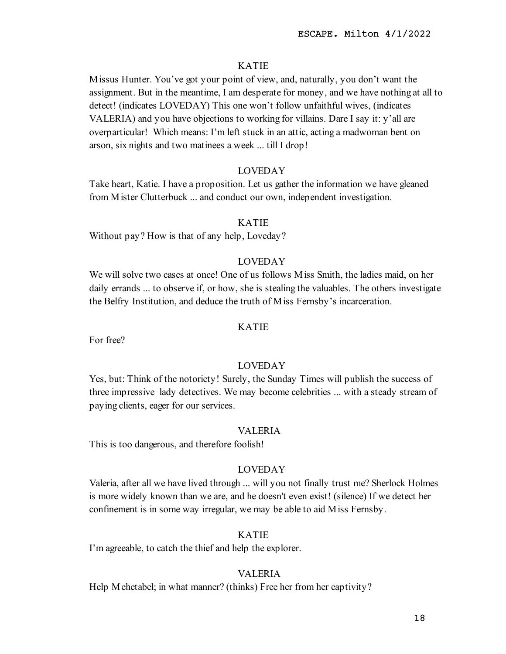Missus Hunter. You've got your point of view, and, naturally, you don't want the assignment. But in the meantime, I am desperate for money, and we have nothing at all to detect! (indicates LOVEDAY) This one won't follow unfaithful wives, (indicates VALERIA) and you have objections to working for villains. Dare I say it: y'all are overparticular! Which means: I'm left stuck in an attic, acting a madwoman bent on arson, six nights and two matinees a week ... till I drop!

## LOVEDAY

Take heart, Katie. I have a proposition. Let us gather the information we have gleaned from Mister Clutterbuck ... and conduct our own, independent investigation.

# KATIE

Without pay? How is that of any help, Loveday?

# LOVEDAY

We will solve two cases at once! One of us follows Miss Smith, the ladies maid, on her daily errands ... to observe if, or how, she is stealing the valuables. The others investigate the Belfry Institution, and deduce the truth of Miss Fernsby's incarceration.

# KATIE

For free?

## LOVEDAY

Yes, but: Think of the notoriety! Surely, the Sunday Times will publish the success of three impressive lady detectives. We may become celebrities ... with a steady stream of paying clients, eager for our services.

#### VALERIA

This is too dangerous, and therefore foolish!

#### LOVEDAY

Valeria, after all we have lived through ... will you not finally trust me? Sherlock Holmes is more widely known than we are, and he doesn't even exist! (silence) If we detect her confinement is in some way irregular, we may be able to aid Miss Fernsby.

## KATIE

I'm agreeable, to catch the thief and help the explorer.

#### VALERIA

Help Mehetabel; in what manner? (thinks) Free her from her captivity?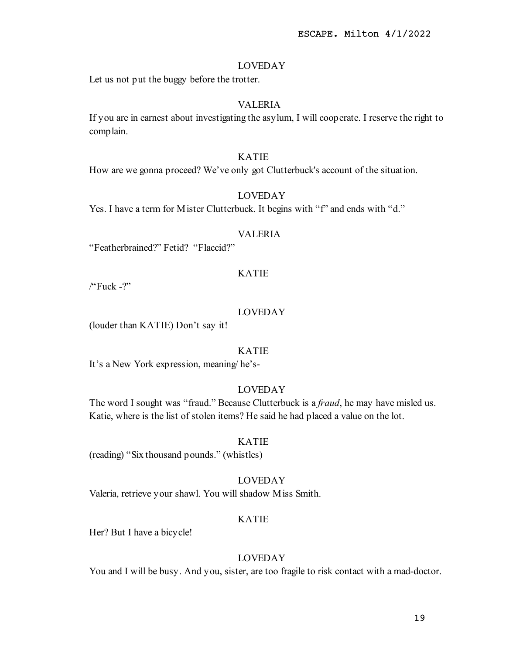Let us not put the buggy before the trotter.

# VALERIA

If you are in earnest about investigating the asylum, I will cooperate. I reserve the right to complain.

# KATIE

How are we gonna proceed? We've only got Clutterbuck's account of the situation.

# LOVEDAY

Yes. I have a term for Mister Clutterbuck. It begins with "f" and ends with "d."

#### VALERIA

"Featherbrained?" Fetid? "Flaccid?"

# KATIE

/"Fuck -?"

#### LOVEDAY

(louder than KATIE) Don't say it!

# KATIE

It's a New York expression, meaning/ he's-

#### LOVEDAY

The word I sought was "fraud." Because Clutterbuck is a *fraud*, he may have misled us. Katie, where is the list of stolen items? He said he had placed a value on the lot.

#### KATIE

(reading) "Six thousand pounds." (whistles)

#### LOVEDAY

Valeria, retrieve your shawl. You will shadow Miss Smith.

## KATIE

Her? But I have a bicycle!

## LOVEDAY

You and I will be busy. And you, sister, are too fragile to risk contact with a mad-doctor.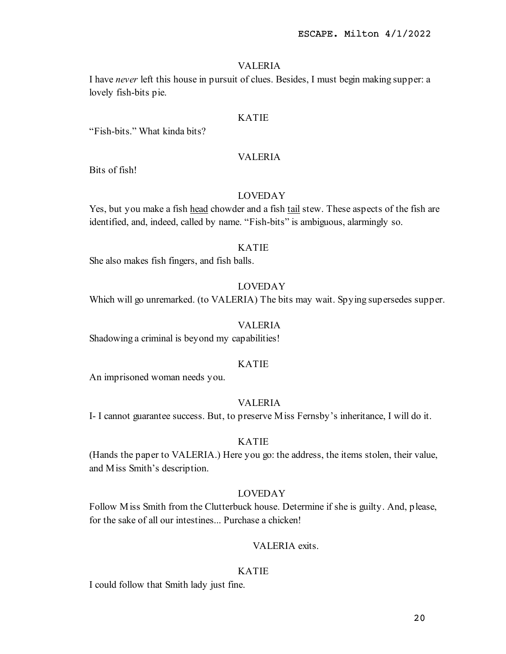#### VALERIA

I have never left this house in pursuit of clues. Besides, I must begin making supper: a lovely fish-bits pie.

#### KATIE

"Fish-bits." What kinda bits?

## VALERIA

Bits of fish!

# LOVEDAY

Yes, but you make a fish head chowder and a fish tail stew. These aspects of the fish are identified, and, indeed, called by name. "Fish-bits" is ambiguous, alarmingly so.

## KATIE

She also makes fish fingers, and fish balls.

# LOVEDAY

Which will go unremarked. (to VALERIA) The bits may wait. Spying supersedes supper.

#### VALERIA

Shadowing a criminal is beyond my capabilities!

#### KATIE

An imprisoned woman needs you.

#### VALERIA

I- I cannot guarantee success. But, to preserve Miss Fernsby's inheritance, I will do it.

# KATIE

(Hands the paper to VALERIA.) Here you go: the address, the items stolen, their value, and Miss Smith's description.

## LOVEDAY

Follow Miss Smith from the Clutterbuck house. Determine if she is guilty. And, please, for the sake of all our intestines... Purchase a chicken!

# VALERIA exits.

#### KATIE

I could follow that Smith lady just fine.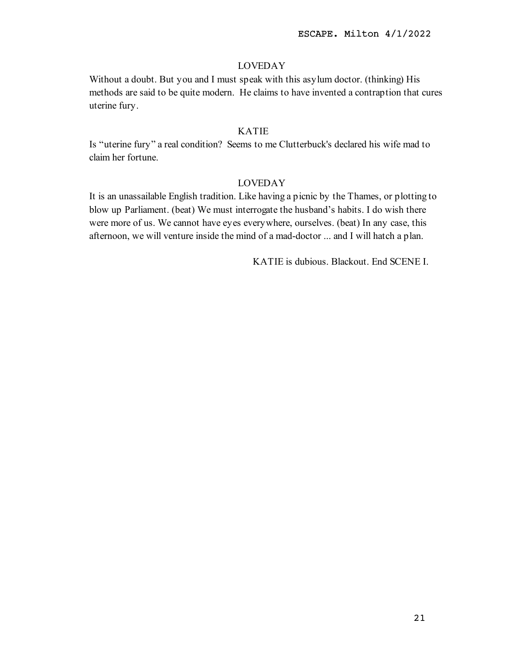Without a doubt. But you and I must speak with this asylum doctor. (thinking) His methods are said to be quite modern. He claims to have invented a contraption that cures uterine fury.

## KATIE

Is "uterine fury" a real condition? Seems to me Clutterbuck's declared his wife mad to claim her fortune.

# LOVEDAY

It is an unassailable English tradition. Like having a picnic by the Thames, or plotting to blow up Parliament. (beat) We must interrogate the husband's habits. I do wish there were more of us. We cannot have eyes everywhere, ourselves. (beat) In any case, this afternoon, we will venture inside the mind of a mad-doctor ... and I will hatch a plan.

KATIE is dubious. Blackout. End SCENE I.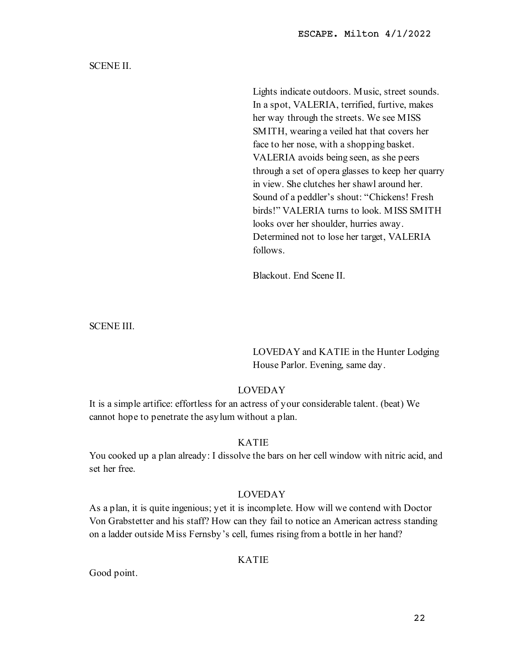ESCAPE. Milton 4/1/2022

# SCENE II.

Lights indicate outdoors. Music, street sounds. In a spot, VALERIA, terrified, furtive, makes her way through the streets. We see MISS SMITH, wearing a veiled hat that covers her face to her nose, with a shopping basket. VALERIA avoids being seen, as she peers through a set of opera glasses to keep her quarry in view. She clutches her shawl around her. Sound of a peddler's shout: "Chickens! Fresh birds!" VALERIA turns to look. MISS SMITH looks over her shoulder, hurries away. Determined not to lose her target, VALERIA follows.

Blackout. End Scene II.

SCENE III.

LOVEDAY and KATIE in the Hunter Lodging House Parlor. Evening, same day.

# LOVEDAY

It is a simple artifice: effortless for an actress of your considerable talent. (beat) We cannot hope to penetrate the asylum without a plan.

# KATIE

You cooked up a plan already: I dissolve the bars on her cell window with nitric acid, and set her free.

# LOVEDAY

As a plan, it is quite ingenious; yet it is incomplete. How will we contend with Doctor Von Grabstetter and his staff? How can they fail to notice an American actress standing on a ladder outside Miss Fernsby's cell, fumes rising from a bottle in her hand?

# KATIE

Good point.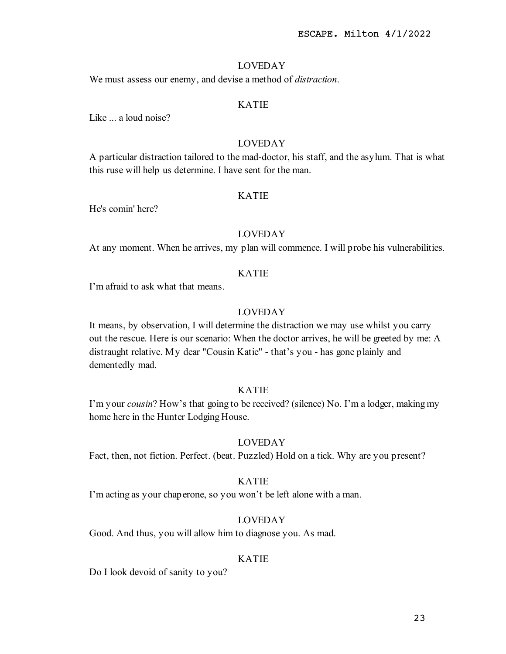We must assess our enemy, and devise a method of *distraction*.

# KATIE

Like ... a loud noise?

# LOVEDAY

A particular distraction tailored to the mad-doctor, his staff, and the asylum. That is what this ruse will help us determine. I have sent for the man.

# KATIE

He's comin' here?

#### LOVEDAY

At any moment. When he arrives, my plan will commence. I will probe his vulnerabilities.

# KATIE

I'm afraid to ask what that means.

## LOVEDAY

It means, by observation, I will determine the distraction we may use whilst you carry out the rescue. Here is our scenario: When the doctor arrives, he will be greeted by me: A distraught relative. My dear "Cousin Katie" - that's you - has gone plainly and dementedly mad.

# KATIE

I'm your cousin? How's that going to be received? (silence) No. I'm a lodger, making my home here in the Hunter Lodging House.

# LOVEDAY

Fact, then, not fiction. Perfect. (beat. Puzzled) Hold on a tick. Why are you present?

## KATIE

I'm acting as your chaperone, so you won't be left alone with a man.

# LOVEDAY

Good. And thus, you will allow him to diagnose you. As mad.

#### KATIE

Do I look devoid of sanity to you?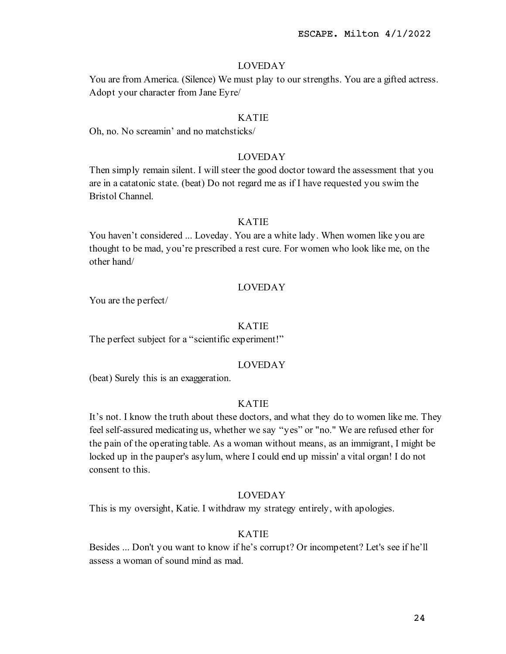You are from America. (Silence) We must play to our strengths. You are a gifted actress. Adopt your character from Jane Eyre/

#### KATIE

Oh, no. No screamin' and no matchsticks/

# LOVEDAY

Then simply remain silent. I will steer the good doctor toward the assessment that you are in a catatonic state. (beat) Do not regard me as if I have requested you swim the Bristol Channel.

### KATIE

You haven't considered ... Loveday. You are a white lady. When women like you are thought to be mad, you're prescribed a rest cure. For women who look like me, on the other hand/

# LOVEDAY

You are the perfect/

#### KATIE

The perfect subject for a "scientific experiment!"

#### LOVEDAY

(beat) Surely this is an exaggeration.

#### KATIE

It's not. I know the truth about these doctors, and what they do to women like me. They feel self-assured medicating us, whether we say "yes" or "no." We are refused ether for the pain of the operating table. As a woman without means, as an immigrant, I might be locked up in the pauper's asylum, where I could end up missin' a vital organ! I do not consent to this.

## LOVEDAY

This is my oversight, Katie. I withdraw my strategy entirely, with apologies.

## KATIE

Besides ... Don't you want to know if he's corrupt? Or incompetent? Let's see if he'll assess a woman of sound mind as mad.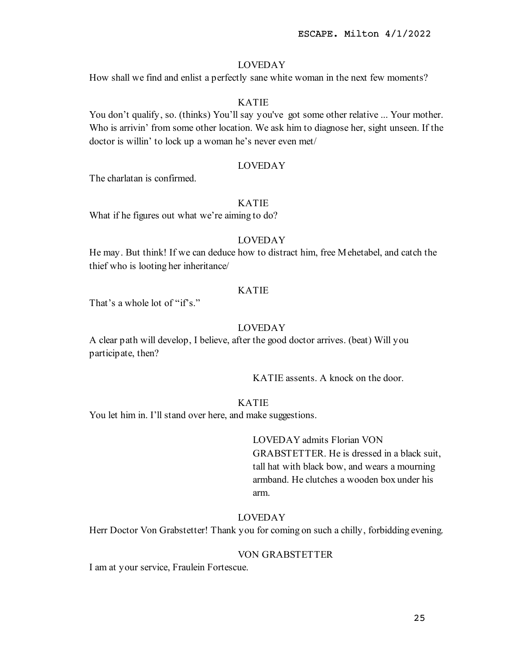How shall we find and enlist a perfectly sane white woman in the next few moments?

# KATIE

You don't qualify, so. (thinks) You'll say you've got some other relative ... Your mother. Who is arrivin' from some other location. We ask him to diagnose her, sight unseen. If the doctor is willin' to lock up a woman he's never even met/

## LOVEDAY

The charlatan is confirmed.

#### KATIE

What if he figures out what we're aiming to do?

## LOVEDAY

He may. But think! If we can deduce how to distract him, free Mehetabel, and catch the thief who is looting her inheritance/

# KATIE

That's a whole lot of "if's."

#### LOVEDAY

A clear path will develop, I believe, after the good doctor arrives. (beat) Will you participate, then?

KATIE assents. A knock on the door.

#### KATIE

You let him in. I'll stand over here, and make suggestions.

# LOVEDAY admits Florian VON

GRABSTETTER. He is dressed in a black suit, tall hat with black bow, and wears a mourning armband. He clutches a wooden box under his arm.

# LOVEDAY

Herr Doctor Von Grabstetter! Thank you for coming on such a chilly, forbidding evening.

### VON GRABSTETTER

I am at your service, Fraulein Fortescue.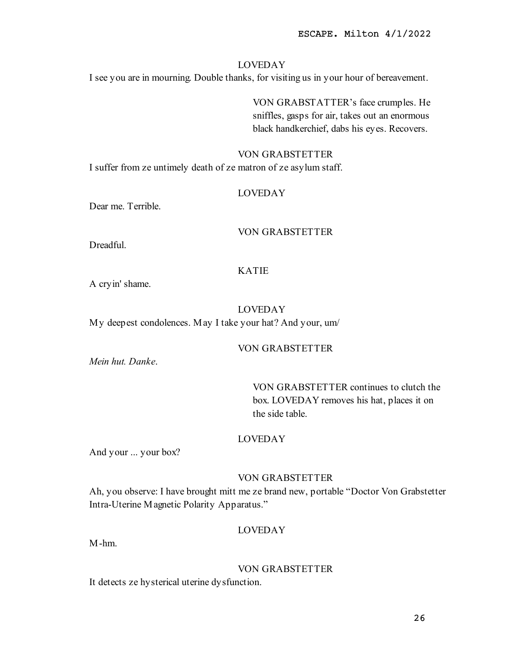I see you are in mourning. Double thanks, for visiting us in your hour of bereavement.

VON GRABSTATTER's face crumples. He sniffles, gasps for air, takes out an enormous black handkerchief, dabs his eyes. Recovers.

## VON GRABSTETTER

I suffer from ze untimely death of ze matron of ze asylum staff.

# LOVEDAY

Dear me. Terrible.

# VON GRABSTETTER

Dreadful.

# KATIE

A cryin' shame.

## LOVEDAY

My deepest condolences. May I take your hat? And your, um/

# VON GRABSTETTER

Mein hut. Danke.

VON GRABSTETTER continues to clutch the box. LOVEDAY removes his hat, places it on the side table.

## LOVEDAY

And your ... your box?

# VON GRABSTETTER

Ah, you observe: I have brought mitt me ze brand new, portable "Doctor Von Grabstetter Intra-Uterine Magnetic Polarity Apparatus."

# LOVEDAY

M-hm.

## VON GRABSTETTER

It detects ze hysterical uterine dysfunction.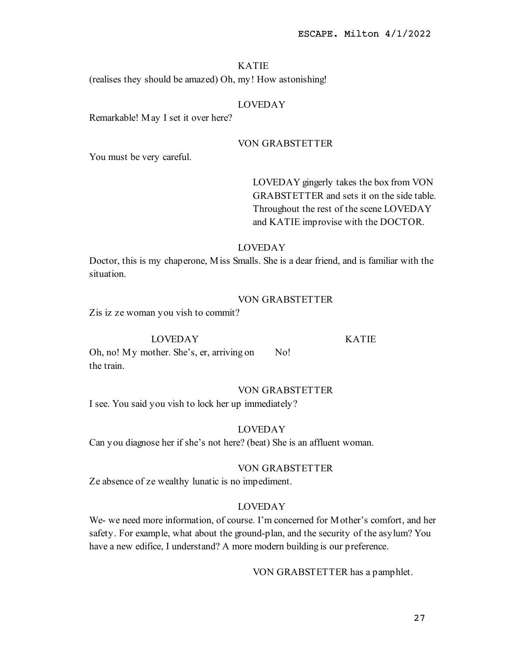(realises they should be amazed) Oh, my! How astonishing!

# LOVEDAY

Remarkable! May I set it over here?

# VON GRABSTETTER

You must be very careful.

LOVEDAY gingerly takes the box from VON GRABSTETTER and sets it on the side table. Throughout the rest of the scene LOVEDAY and KATIE improvise with the DOCTOR.

# LOVEDAY

Doctor, this is my chaperone, Miss Smalls. She is a dear friend, and is familiar with the situation.

# VON GRABSTETTER

Zis iz ze woman you vish to commit?

#### LOVEDAY

KATIE

Oh, no! My mother. She's, er, arriving on the train. No!

# VON GRABSTETTER

I see. You said you vish to lock her up immediately?

## LOVEDAY

Can you diagnose her if she's not here? (beat) She is an affluent woman.

#### VON GRABSTETTER

Ze absence of ze wealthy lunatic is no impediment.

# LOVEDAY

We- we need more information, of course. I'm concerned for Mother's comfort, and her safety. For example, what about the ground-plan, and the security of the asylum? You have a new edifice, I understand? A more modern building is our preference.

VON GRABSTETTER has a pamphlet.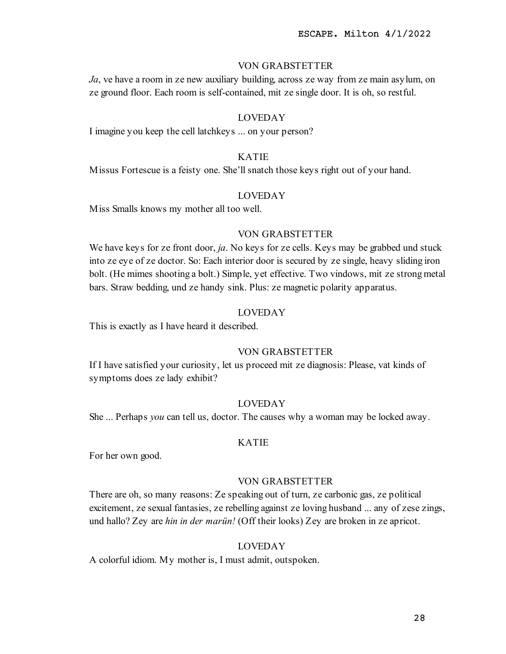# VON GRABSTETTER

 $Ja$ , ve have a room in ze new auxiliary building, across ze way from ze main asylum, on ze ground floor. Each room is self-contained, mit ze single door. It is oh, so restful.

# LOVEDAY

I imagine you keep the cell latchkeys ... on your person?

# KATIE

Missus Fortescue is a feisty one. She'll snatch those keys right out of your hand.

# LOVEDAY

Miss Smalls knows my mother all too well.

## VON GRABSTETTER

We have keys for ze front door, ja. No keys for ze cells. Keys may be grabbed und stuck into ze eye of ze doctor. So: Each interior door is secured by ze single, heavy sliding iron bolt. (He mimes shooting a bolt.) Simple, yet effective. Two vindows, mit ze strong metal bars. Straw bedding, und ze handy sink. Plus: ze magnetic polarity apparatus.

# LOVEDAY

This is exactly as I have heard it described.

# VON GRABSTETTER

If I have satisfied your curiosity, let us proceed mit ze diagnosis: Please, vat kinds of symptoms does ze lady exhibit?

#### LOVEDAY

She ... Perhaps you can tell us, doctor. The causes why a woman may be locked away.

## KATIE

For her own good.

## VON GRABSTETTER

There are oh, so many reasons: Ze speaking out of turn, ze carbonic gas, ze political excitement, ze sexual fantasies, ze rebelling against ze loving husband ... any of zese zings, und hallo? Zey are hin in der marün! (Off their looks) Zey are broken in ze apricot.

# LOVEDAY

A colorful idiom. My mother is, I must admit, outspoken.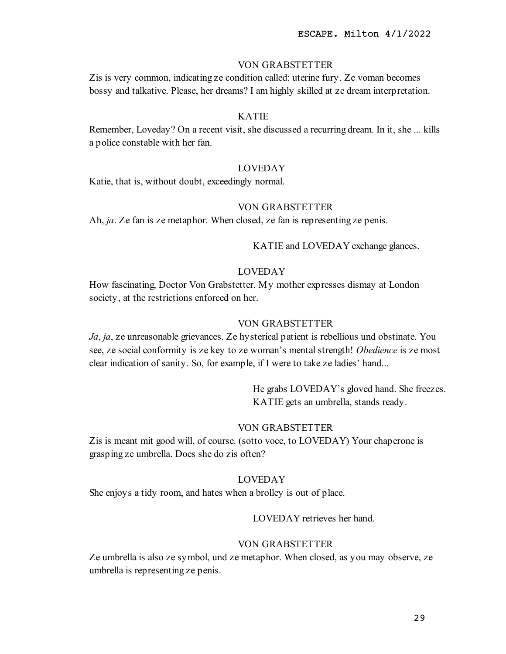## VON GRABSTETTER

Zis is very common, indicating ze condition called: uterine fury. Ze voman becomes bossy and talkative. Please, her dreams? I am highly skilled at ze dream interpretation.

#### KATIE

Remember, Loveday? On a recent visit, she discussed a recurring dream. In it, she ... kills a police constable with her fan.

# LOVEDAY

Katie, that is, without doubt, exceedingly normal.

## VON GRABSTETTER

Ah, *ja*. Ze fan is ze metaphor. When closed, ze fan is representing ze penis.

KATIE and LOVEDAY exchange glances.

# LOVEDAY

How fascinating, Doctor Von Grabstetter. My mother expresses dismay at London society, at the restrictions enforced on her.

# VON GRABSTETTER

Ja, ja, ze unreasonable grievances. Ze hysterical patient is rebellious und obstinate. You see, ze social conformity is ze key to ze woman's mental strength! Obedience is ze most clear indication of sanity. So, for example, if I were to take ze ladies' hand...

> He grabs LOVEDAY's gloved hand. She freezes. KATIE gets an umbrella, stands ready.

## VON GRABSTETTER

Zis is meant mit good will, of course. (sotto voce, to LOVEDAY) Your chaperone is grasping ze umbrella. Does she do zis often?

#### LOVEDAY

She enjoys a tidy room, and hates when a brolley is out of place.

# LOVEDAY retrieves her hand.

## VON GRABSTETTER

Ze umbrella is also ze symbol, und ze metaphor. When closed, as you may observe, ze umbrella is representing ze penis.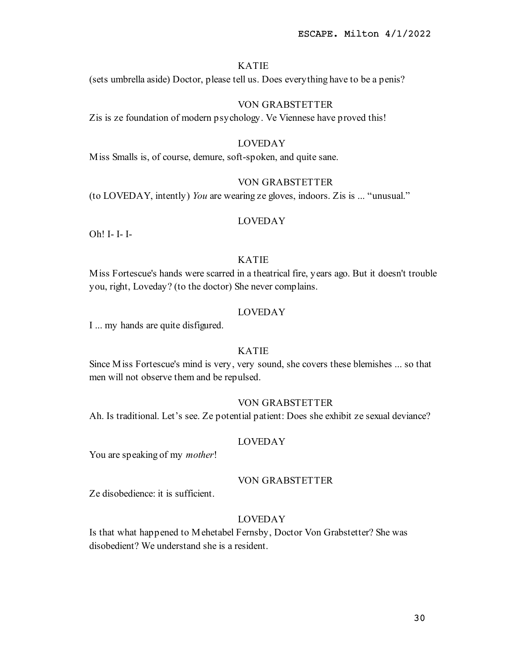(sets umbrella aside) Doctor, please tell us. Does everything have to be a penis?

# VON GRABSTETTER

Zis is ze foundation of modern psychology. Ve Viennese have proved this!

## LOVEDAY

Miss Smalls is, of course, demure, soft-spoken, and quite sane.

# VON GRABSTETTER

(to LOVEDAY, intently) You are wearing ze gloves, indoors. Zis is ... "unusual."

#### LOVEDAY

Oh! I- I- I-

# KATIE

Miss Fortescue's hands were scarred in a theatrical fire, years ago. But it doesn't trouble you, right, Loveday? (to the doctor) She never complains.

#### LOVEDAY

I ... my hands are quite disfigured.

# KATIE

Since Miss Fortescue's mind is very, very sound, she covers these blemishes ... so that men will not observe them and be repulsed.

## VON GRABSTETTER

Ah. Is traditional. Let's see. Ze potential patient: Does she exhibit ze sexual deviance?

# LOVEDAY

You are speaking of my *mother!* 

#### VON GRABSTETTER

Ze disobedience: it is sufficient.

# LOVEDAY

Is that what happened to Mehetabel Fernsby, Doctor Von Grabstetter? She was disobedient? We understand she is a resident.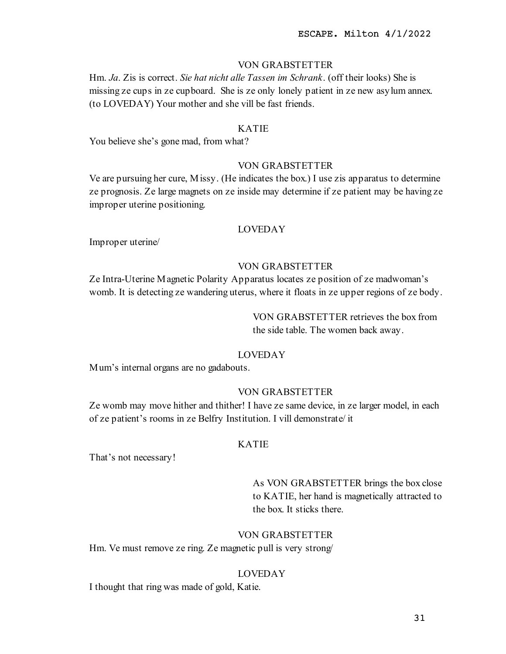# VON GRABSTETTER

Hm. Ja. Zis is correct. Sie hat nicht alle Tassen im Schrank. (off their looks) She is missing ze cups in ze cupboard. She is ze only lonely patient in ze new asylum annex. (to LOVEDAY) Your mother and she vill be fast friends.

# KATIE

You believe she's gone mad, from what?

# VON GRABSTETTER

Ve are pursuing her cure, Missy. (He indicates the box.) I use zis apparatus to determine ze prognosis. Ze large magnets on ze inside may determine if ze patient may be having ze improper uterine positioning.

#### LOVEDAY

Improper uterine/

#### VON GRABSTETTER

Ze Intra-Uterine Magnetic Polarity Apparatus locates ze position of ze madwoman's womb. It is detecting ze wandering uterus, where it floats in ze upper regions of ze body.

> VON GRABSTETTER retrieves the box from the side table. The women back away.

# LOVEDAY

Mum's internal organs are no gadabouts.

# VON GRABSTETTER

Ze womb may move hither and thither! I have ze same device, in ze larger model, in each of ze patient's rooms in ze Belfry Institution. I vill demonstrate/ it

#### KATIE

That's not necessary!

As VON GRABSTETTER brings the box close to KATIE, her hand is magnetically attracted to the box. It sticks there.

## VON GRABSTETTER

Hm. Ve must remove ze ring. Ze magnetic pull is very strong/

#### LOVEDAY

I thought that ring was made of gold, Katie.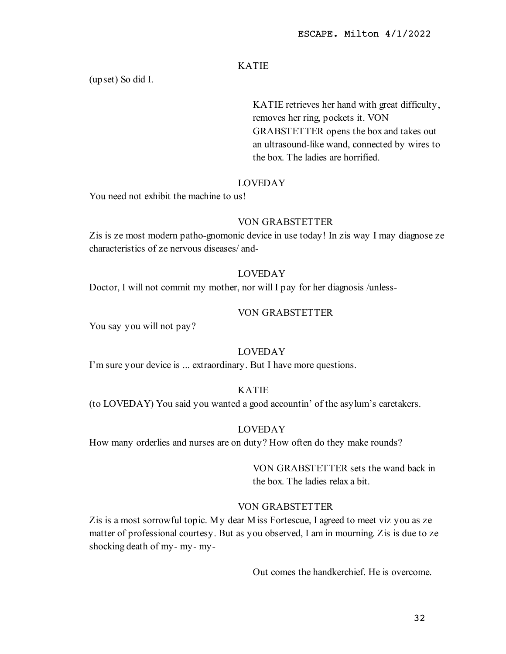(upset) So did I.

KATIE retrieves her hand with great difficulty, removes her ring, pockets it. VON GRABSTETTER opens the box and takes out an ultrasound-like wand, connected by wires to the box. The ladies are horrified.

# LOVEDAY

You need not exhibit the machine to us!

## VON GRABSTETTER

Zis is ze most modern patho-gnomonic device in use today! In zis way I may diagnose ze characteristics of ze nervous diseases/ and-

# LOVEDAY

Doctor, I will not commit my mother, nor will I pay for her diagnosis /unless-

# VON GRABSTETTER

You say you will not pay?

# LOVEDAY

I'm sure your device is ... extraordinary. But I have more questions.

# KATIE

(to LOVEDAY) You said you wanted a good accountin' of the asylum's caretakers.

## LOVEDAY

How many orderlies and nurses are on duty? How often do they make rounds?

VON GRABSTETTER sets the wand back in the box. The ladies relax a bit.

# VON GRABSTETTER

Zis is a most sorrowful topic. My dear Miss Fortescue, I agreed to meet viz you as ze matter of professional courtesy. But as you observed, I am in mourning. Zis is due to ze shocking death of my- my- my-

Out comes the handkerchief. He is overcome.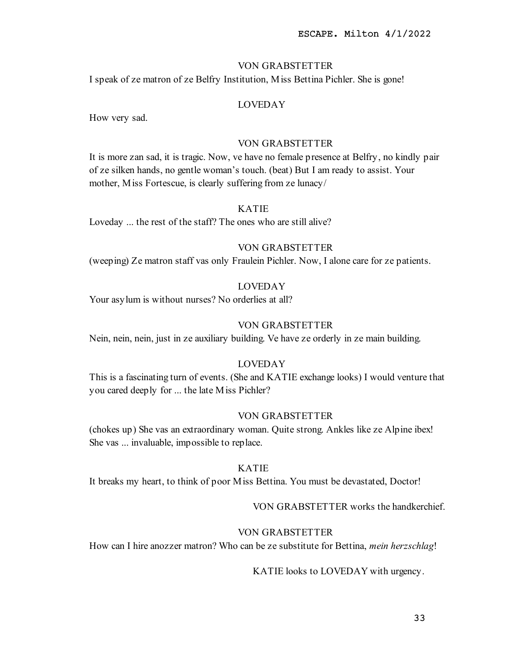## VON GRABSTETTER

I speak of ze matron of ze Belfry Institution, Miss Bettina Pichler. She is gone!

# LOVEDAY

How very sad.

# VON GRABSTETTER

It is more zan sad, it is tragic. Now, ve have no female presence at Belfry, no kindly pair of ze silken hands, no gentle woman's touch. (beat) But I am ready to assist. Your mother, Miss Fortescue, is clearly suffering from ze lunacy/

## KATIE

Loveday ... the rest of the staff? The ones who are still alive?

# VON GRABSTETTER

(weeping) Ze matron staff vas only Fraulein Pichler. Now, I alone care for ze patients.

# LOVEDAY

Your asylum is without nurses? No orderlies at all?

#### VON GRABSTETTER

Nein, nein, nein, just in ze auxiliary building. Ve have ze orderly in ze main building.

# LOVEDAY

This is a fascinating turn of events. (She and KATIE exchange looks) I would venture that you cared deeply for ... the late Miss Pichler?

#### VON GRABSTETTER

(chokes up) She vas an extraordinary woman. Quite strong. Ankles like ze Alpine ibex! She vas ... invaluable, impossible to replace.

# KATIE

It breaks my heart, to think of poor Miss Bettina. You must be devastated, Doctor!

#### VON GRABSTETTER works the handkerchief.

## VON GRABSTETTER

How can I hire anozzer matron? Who can be ze substitute for Bettina, mein herzschlag!

## KATIE looks to LOVEDAY with urgency.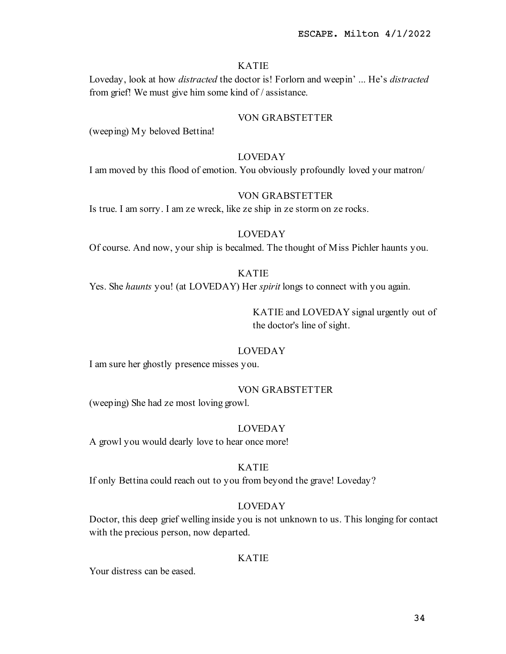Loveday, look at how distracted the doctor is! Forlorn and weepin' ... He's distracted from grief! We must give him some kind of / assistance.

#### VON GRABSTETTER

(weeping) My beloved Bettina!

# LOVEDAY

I am moved by this flood of emotion. You obviously profoundly loved your matron/

#### VON GRABSTETTER

Is true. I am sorry. I am ze wreck, like ze ship in ze storm on ze rocks.

# LOVEDAY

Of course. And now, your ship is becalmed. The thought of Miss Pichler haunts you.

## KATIE

Yes. She haunts you! (at LOVEDAY) Her spirit longs to connect with you again.

KATIE and LOVEDAY signal urgently out of the doctor's line of sight.

# LOVEDAY

I am sure her ghostly presence misses you.

#### VON GRABSTETTER

(weeping) She had ze most loving growl.

## LOVEDAY

A growl you would dearly love to hear once more!

#### KATIE

If only Bettina could reach out to you from beyond the grave! Loveday?

# LOVEDAY

Doctor, this deep grief welling inside you is not unknown to us. This longing for contact with the precious person, now departed.

#### KATIE

Your distress can be eased.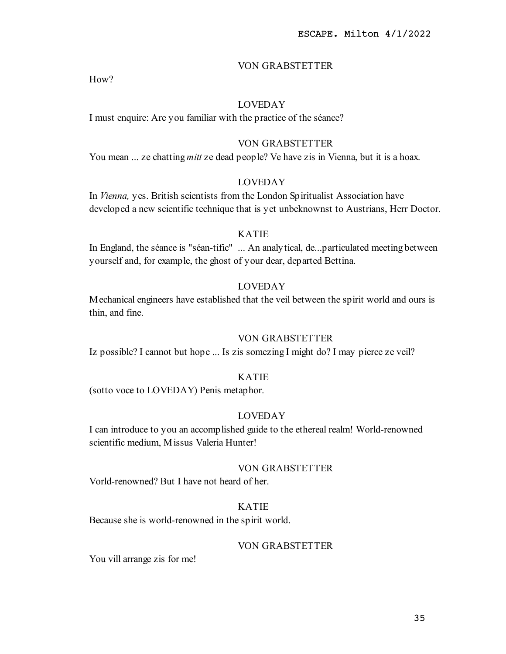# VON GRABSTETTER

How?

# LOVEDAY

I must enquire: Are you familiar with the practice of the séance?

# VON GRABSTETTER

You mean ... ze chatting *mitt* ze dead people? Ve have zis in Vienna, but it is a hoax.

# LOVEDAY

In Vienna, yes. British scientists from the London Spiritualist Association have developed a new scientific technique that is yet unbeknownst to Austrians, Herr Doctor.

## KATIE

In England, the séance is "séan-tific" ... An analytical, de...particulated meeting between yourself and, for example, the ghost of your dear, departed Bettina.

# LOVEDAY

Mechanical engineers have established that the veil between the spirit world and ours is thin, and fine.

### VON GRABSTETTER

Iz possible? I cannot but hope ... Is zis somezing I might do? I may pierce ze veil?

### KATIE

(sotto voce to LOVEDAY) Penis metaphor.

# LOVEDAY

I can introduce to you an accomplished guide to the ethereal realm! World-renowned scientific medium, Missus Valeria Hunter!

## VON GRABSTETTER

Vorld-renowned? But I have not heard of her.

# KATIE

Because she is world-renowned in the spirit world.

# VON GRABSTETTER

You vill arrange zis for me!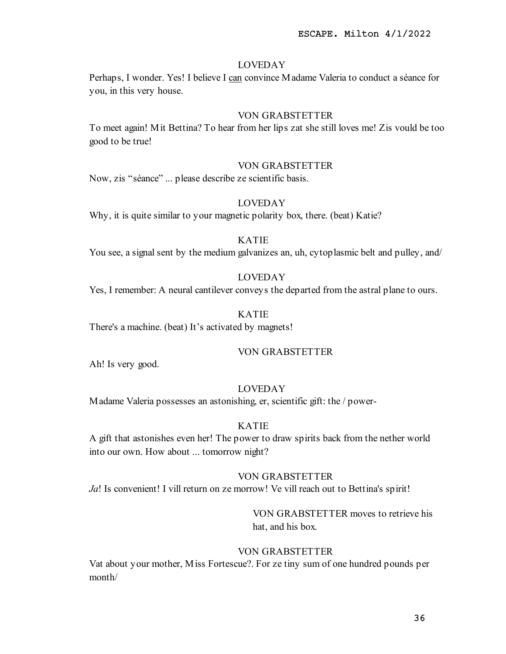Perhaps, I wonder. Yes! I believe I can convince Madame Valeria to conduct a séance for you, in this very house.

## VON GRABSTETTER

To meet again! Mit Bettina? To hear from her lips zat she still loves me! Zis vould be too good to be true!

## VON GRABSTETTER

Now, zis "séance" ... please describe ze scientific basis.

## LOVEDAY

Why, it is quite similar to your magnetic polarity box, there. (beat) Katie?

### KATIE

You see, a signal sent by the medium galvanizes an, uh, cytoplasmic belt and pulley, and/

# LOVEDAY

Yes, I remember: A neural cantilever conveys the departed from the astral plane to ours.

# KATIE

There's a machine. (beat) It's activated by magnets!

## VON GRABSTETTER

Ah! Is very good.

#### LOVEDAY

Madame Valeria possesses an astonishing, er, scientific gift: the / power-

## KATIE

A gift that astonishes even her! The power to draw spirits back from the nether world into our own. How about ... tomorrow night?

## VON GRABSTETTER

Ja! Is convenient! I vill return on ze morrow! Ve vill reach out to Bettina's spirit!

# VON GRABSTETTER moves to retrieve his hat, and his box.

# VON GRABSTETTER

Vat about your mother, Miss Fortescue?. For ze tiny sum of one hundred pounds per month/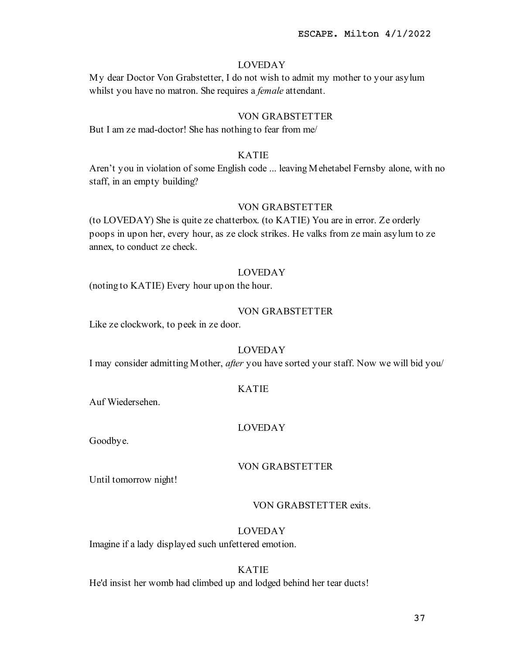My dear Doctor Von Grabstetter, I do not wish to admit my mother to your asylum whilst you have no matron. She requires a *female* attendant.

## VON GRABSTETTER

But I am ze mad-doctor! She has nothing to fear from me/

# KATIE

Aren't you in violation of some English code ... leaving Mehetabel Fernsby alone, with no staff, in an empty building?

### VON GRABSTETTER

(to LOVEDAY) She is quite ze chatterbox. (to KATIE) You are in error. Ze orderly poops in upon her, every hour, as ze clock strikes. He valks from ze main asylum to ze annex, to conduct ze check.

#### LOVEDAY

(noting to KATIE) Every hour upon the hour.

## VON GRABSTETTER

Like ze clockwork, to peek in ze door.

# LOVEDAY

I may consider admitting Mother, after you have sorted your staff. Now we will bid you/

#### KATIE

Auf Wiedersehen.

#### LOVEDAY

Goodbye.

## VON GRABSTETTER

Until tomorrow night!

## VON GRABSTETTER exits.

### LOVEDAY

Imagine if a lady displayed such unfettered emotion.

#### KATIE

He'd insist her womb had climbed up and lodged behind her tear ducts!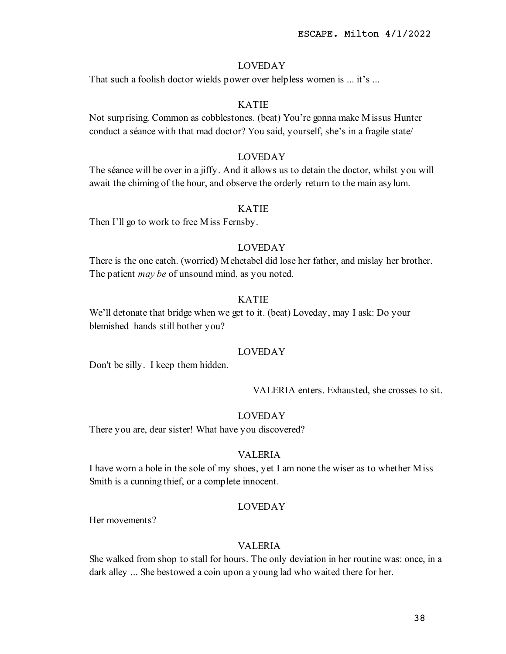That such a foolish doctor wields power over helpless women is ... it's ...

# KATIE

Not surprising. Common as cobblestones. (beat) You're gonna make Missus Hunter conduct a séance with that mad doctor? You said, yourself, she's in a fragile state/

# LOVEDAY

The séance will be over in a jiffy. And it allows us to detain the doctor, whilst you will await the chiming of the hour, and observe the orderly return to the main asylum.

### KATIE

Then I'll go to work to free Miss Fernsby.

# LOVEDAY

There is the one catch. (worried) Mehetabel did lose her father, and mislay her brother. The patient *may be* of unsound mind, as you noted.

# KATIE

We'll detonate that bridge when we get to it. (beat) Loveday, may I ask: Do your blemished hands still bother you?

## LOVEDAY

Don't be silly. I keep them hidden.

VALERIA enters. Exhausted, she crosses to sit.

#### LOVEDAY

There you are, dear sister! What have you discovered?

# VALERIA

I have worn a hole in the sole of my shoes, yet I am none the wiser as to whether Miss Smith is a cunning thief, or a complete innocent.

### LOVEDAY

Her movements?

## VALERIA

She walked from shop to stall for hours. The only deviation in her routine was: once, in a dark alley ... She bestowed a coin upon a young lad who waited there for her.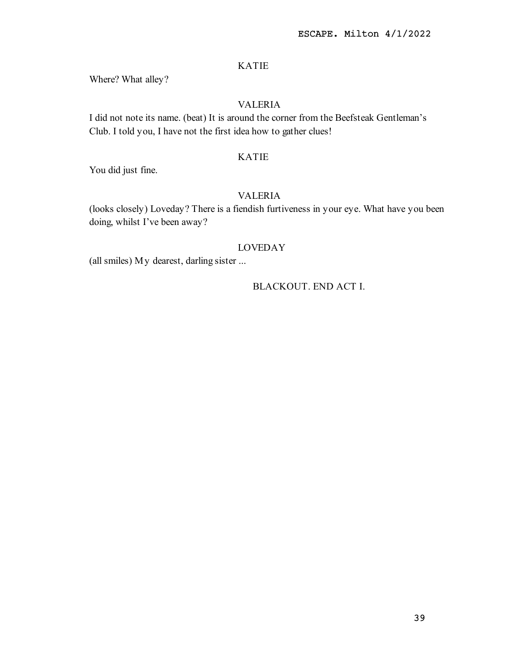Where? What alley?

# VALERIA

I did not note its name. (beat) It is around the corner from the Beefsteak Gentleman's Club. I told you, I have not the first idea how to gather clues!

# KATIE

You did just fine.

# VALERIA

(looks closely) Loveday? There is a fiendish furtiveness in your eye. What have you been doing, whilst I've been away?

## LOVEDAY

(all smiles) My dearest, darling sister ...

# BLACKOUT. END ACT I.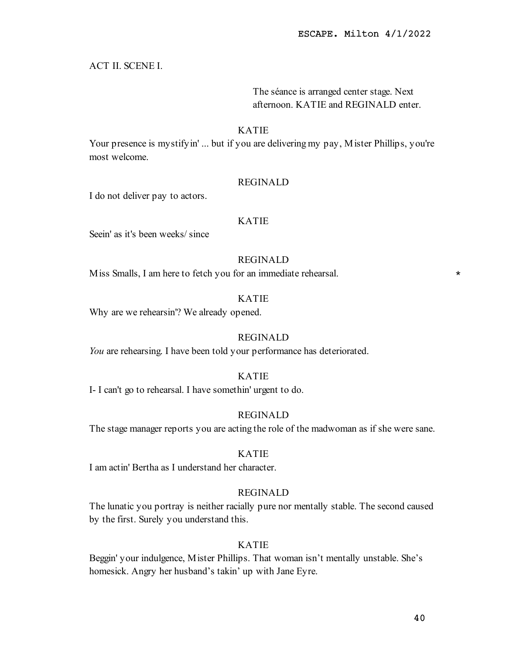# ACT II. SCENE I.

# The séance is arranged center stage. Next afternoon. KATIE and REGINALD enter.

## KATIE

Your presence is mystifyin' ... but if you are delivering my pay, Mister Phillips, you're most welcome.

## REGINALD

I do not deliver pay to actors.

### KATIE

Seein' as it's been weeks/ since

# REGINALD

Miss Smalls, I am here to fetch you for an immediate rehearsal. \*

#### KATIE

Why are we rehearsin'? We already opened.

# REGINALD

You are rehearsing. I have been told your performance has deteriorated.

### KATIE

I- I can't go to rehearsal. I have somethin' urgent to do.

# REGINALD

The stage manager reports you are acting the role of the madwoman as if she were sane.

## KATIE

I am actin' Bertha as I understand her character.

# REGINALD

The lunatic you portray is neither racially pure nor mentally stable. The second caused by the first. Surely you understand this.

# KATIE

Beggin' your indulgence, Mister Phillips. That woman isn't mentally unstable. She's homesick. Angry her husband's takin' up with Jane Eyre.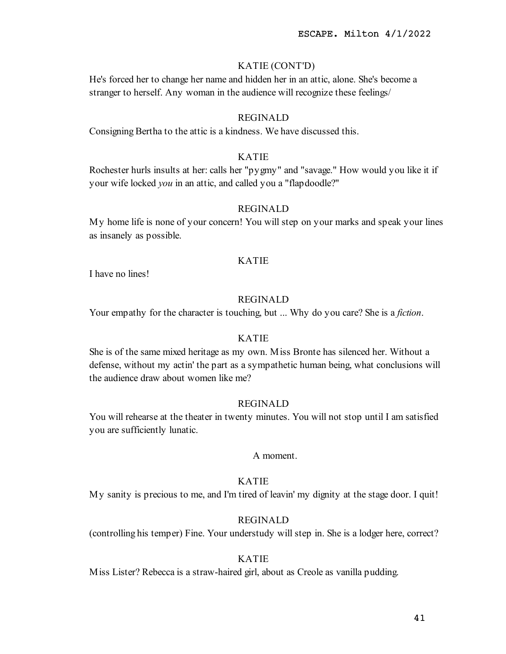# KATIE (CONT'D)

He's forced her to change her name and hidden her in an attic, alone. She's become a stranger to herself. Any woman in the audience will recognize these feelings/

## REGINALD

Consigning Bertha to the attic is a kindness. We have discussed this.

# KATIE

Rochester hurls insults at her: calls her "pygmy" and "savage." How would you like it if your wife locked you in an attic, and called you a "flapdoodle?"

## REGINALD

My home life is none of your concern! You will step on your marks and speak your lines as insanely as possible.

## KATIE

I have no lines!

# REGINALD

Your empathy for the character is touching, but ... Why do you care? She is a *fiction*.

#### KATIE

She is of the same mixed heritage as my own. Miss Bronte has silenced her. Without a defense, without my actin' the part as a sympathetic human being, what conclusions will the audience draw about women like me?

### REGINALD

You will rehearse at the theater in twenty minutes. You will not stop until I am satisfied you are sufficiently lunatic.

## A moment.

# KATIE

My sanity is precious to me, and I'm tired of leavin' my dignity at the stage door. I quit!

# REGINALD

(controlling his temper) Fine. Your understudy will step in. She is a lodger here, correct?

# KATIE

Miss Lister? Rebecca is a straw-haired girl, about as Creole as vanilla pudding.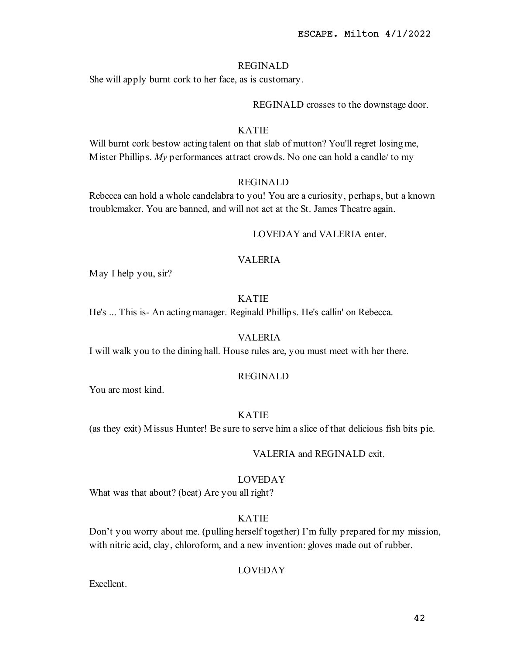## REGINALD

She will apply burnt cork to her face, as is customary.

REGINALD crosses to the downstage door.

# KATIE

Will burnt cork bestow acting talent on that slab of mutton? You'll regret losing me, Mister Phillips.  $My$  performances attract crowds. No one can hold a candle/ to my

## REGINALD

Rebecca can hold a whole candelabra to you! You are a curiosity, perhaps, but a known troublemaker. You are banned, and will not act at the St. James Theatre again.

#### LOVEDAY and VALERIA enter.

## VALERIA

May I help you, sir?

## KATIE

He's ... This is- An acting manager. Reginald Phillips. He's callin' on Rebecca.

# VALERIA

I will walk you to the dining hall. House rules are, you must meet with her there.

### REGINALD

You are most kind.

# KATIE

(as they exit) Missus Hunter! Be sure to serve him a slice of that delicious fish bits pie.

#### VALERIA and REGINALD exit.

## LOVEDAY

What was that about? (beat) Are you all right?

# KATIE

Don't you worry about me. (pulling herself together) I'm fully prepared for my mission, with nitric acid, clay, chloroform, and a new invention: gloves made out of rubber.

# LOVEDAY

Excellent.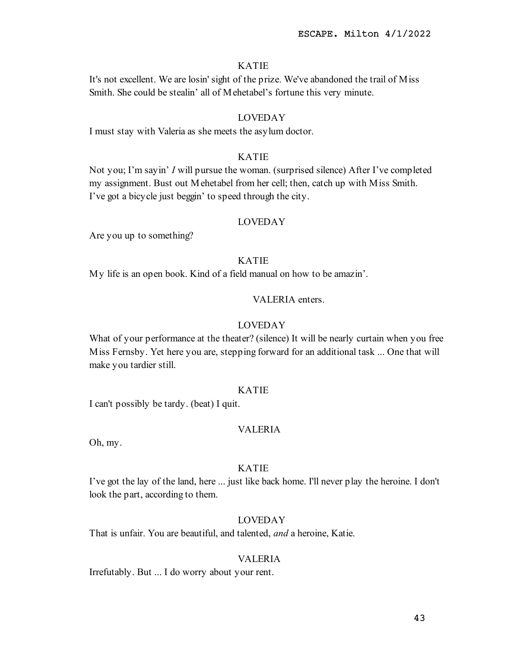It's not excellent. We are losin' sight of the prize. We've abandoned the trail of Miss Smith. She could be stealin' all of Mehetabel's fortune this very minute.

# LOVEDAY

I must stay with Valeria as she meets the asylum doctor.

# KATIE

Not you; I'm sayin' I will pursue the woman. (surprised silence) After I've completed my assignment. Bust out Mehetabel from her cell; then, catch up with Miss Smith. I've got a bicycle just beggin' to speed through the city.

## LOVEDAY

Are you up to something?

# KATIE

My life is an open book. Kind of a field manual on how to be amazin'.

# VALERIA enters.

## LOVEDAY

What of your performance at the theater? (silence) It will be nearly curtain when you free Miss Fernsby. Yet here you are, stepping forward for an additional task ... One that will make you tardier still.

## KATIE

I can't possibly be tardy. (beat) I quit.

## VALERIA

Oh, my.

# KATIE

I've got the lay of the land, here ... just like back home. I'll never play the heroine. I don't look the part, according to them.

## LOVEDAY

That is unfair. You are beautiful, and talented, *and* a heroine, Katie.

# VALERIA

Irrefutably. But ... I do worry about your rent.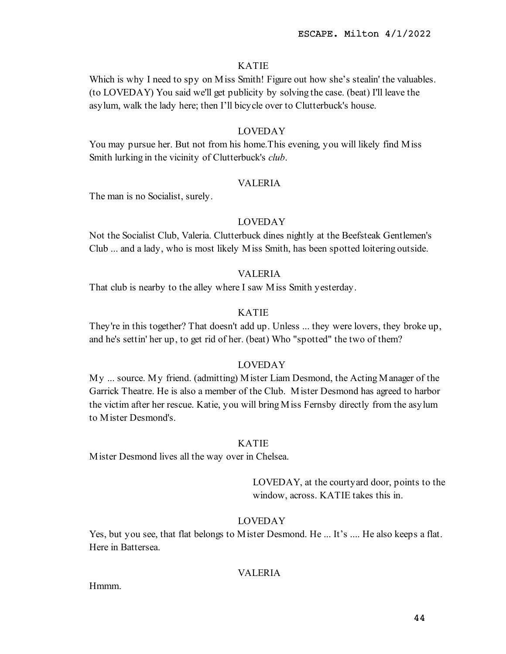Which is why I need to spy on M iss Smith! Figure out how she's stealin' the valuables. (to LOVEDAY) You said we'll get publicity by solving the case. (beat) I'll leave the asylum, walk the lady here; then I'll bicycle over to Clutterbuck's house.

## LOVEDAY

You may pursue her. But not from his home.This evening, you will likely find Miss Smith lurking in the vicinity of Clutterbuck's *club*.

## VALERIA

The man is no Socialist, surely.

## LOVEDAY

Not the Socialist Club, Valeria. Clutterbuck dines nightly at the Beefsteak Gentlemen's Club ... and a lady, who is most likely Miss Smith, has been spotted loitering outside.

## VALERIA

That club is nearby to the alley where I saw Miss Smith yesterday.

# KATIE

They're in this together? That doesn't add up. Unless ... they were lovers, they broke up, and he's settin' her up, to get rid of her. (beat) Who "spotted" the two of them?

## LOVEDAY

My ... source. My friend. (admitting) Mister Liam Desmond, the Acting Manager of the Garrick Theatre. He is also a member of the Club. Mister Desmond has agreed to harbor the victim after her rescue. Katie, you will bring Miss Fernsby directly from the asylum to Mister Desmond's.

## KATIE

Mister Desmond lives all the way over in Chelsea.

LOVEDAY, at the courtyard door, points to the window, across. KATIE takes this in.

# LOVEDAY

Yes, but you see, that flat belongs to Mister Desmond. He ... It's .... He also keeps a flat. Here in Battersea.

# VALERIA

Hmmm.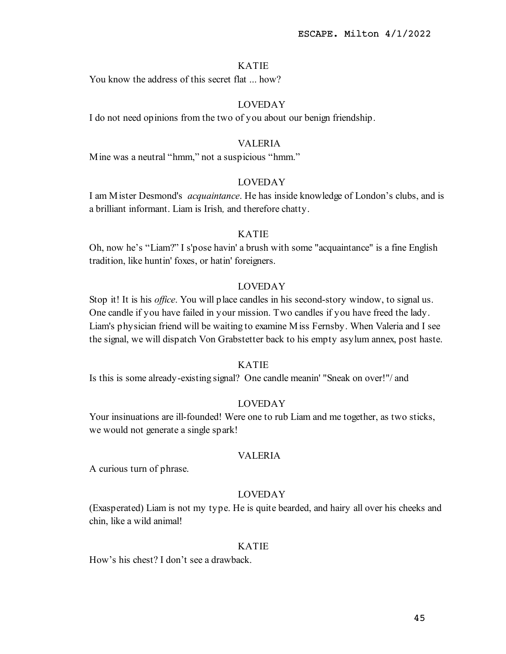You know the address of this secret flat ... how?

# LOVEDAY

I do not need opinions from the two of you about our benign friendship.

## VALERIA

Mine was a neutral "hmm," not a suspicious "hmm."

# LOVEDAY

I am Mister Desmond's acquaintance. He has inside knowledge of London's clubs, and is a brilliant informant. Liam is Irish, and therefore chatty.

## KATIE

Oh, now he's "Liam?" I s'pose havin' a brush with some "acquaintance" is a fine English tradition, like huntin' foxes, or hatin' foreigners.

# LOVEDAY

Stop it! It is his *office*. You will place candles in his second-story window, to signal us. One candle if you have failed in your mission. Two candles if you have freed the lady. Liam's physician friend will be waiting to examine Miss Fernsby. When Valeria and I see the signal, we will dispatch Von Grabstetter back to his empty asylum annex, post haste.

## KATIE

Is this is some already-existing signal? One candle meanin' "Sneak on over!"/ and

### LOVEDAY

Your insinuations are ill-founded! Were one to rub Liam and me together, as two sticks, we would not generate a single spark!

## VALERIA

A curious turn of phrase.

## LOVEDAY

(Exasperated) Liam is not my type. He is quite bearded, and hairy all over his cheeks and chin, like a wild animal!

### KATIE

How's his chest? I don't see a drawback.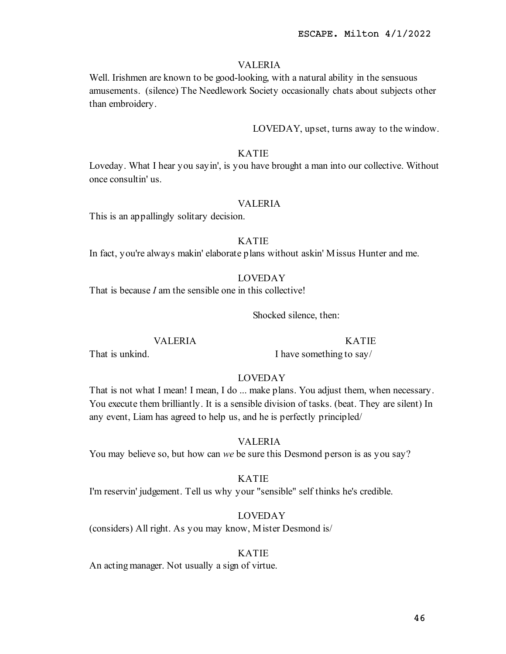## VALERIA

Well. Irishmen are known to be good-looking, with a natural ability in the sensuous amusements. (silence) The Needlework Society occasionally chats about subjects other than embroidery.

LOVEDAY, upset, turns away to the window.

## KATIE

Loveday. What I hear you sayin', is you have brought a man into our collective. Without once consultin' us.

## VALERIA

This is an appallingly solitary decision.

# KATIE

In fact, you're always makin' elaborate plans without askin' Missus Hunter and me.

# LOVEDAY

That is because *I* am the sensible one in this collective!

Shocked silence, then:

# VALERIA

# KATIE

That is unkind.

I have something to say/

# LOVEDAY

That is not what I mean! I mean, I do ... make plans. You adjust them, when necessary. You execute them brilliantly. It is a sensible division of tasks. (beat. They are silent) In any event, Liam has agreed to help us, and he is perfectly principled/

# VALERIA

You may believe so, but how can we be sure this Desmond person is as you say?

# KATIE

I'm reservin' judgement. Tell us why your "sensible" self thinks he's credible.

#### LOVEDAY

(considers) All right. As you may know, Mister Desmond is/

#### KATIE

An acting manager. Not usually a sign of virtue.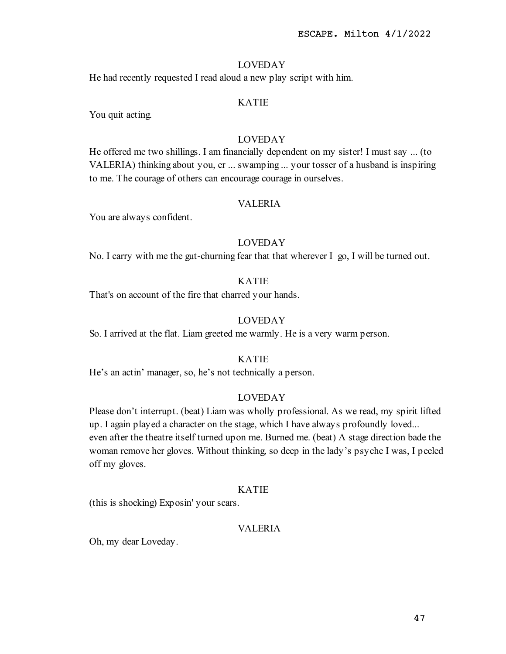He had recently requested I read aloud a new play script with him.

# KATIE

You quit acting.

# LOVEDAY

He offered me two shillings. I am financially dependent on my sister! I must say ... (to VALERIA) thinking about you, er ... swamping ... your tosser of a husband is inspiring to me. The courage of others can encourage courage in ourselves.

## VALERIA

You are always confident.

## LOVEDAY

No. I carry with me the gut-churning fear that that wherever I go, I will be turned out.

# KATIE

That's on account of the fire that charred your hands.

# LOVEDAY

So. I arrived at the flat. Liam greeted me warmly. He is a very warm person.

# KATIE

He's an actin' manager, so, he's not technically a person.

### LOVEDAY

Please don't interrupt. (beat) Liam was wholly professional. As we read, my spirit lifted up. I again played a character on the stage, which I have always profoundly loved... even after the theatre itself turned upon me. Burned me. (beat) A stage direction bade the woman remove her gloves. Without thinking, so deep in the lady's psyche I was, I peeled off my gloves.

### KATIE

(this is shocking) Exposin' your scars.

# VALERIA

Oh, my dear Loveday.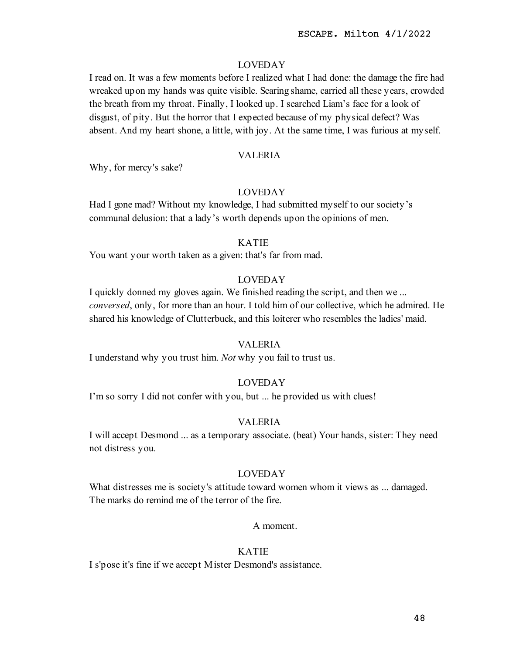I read on. It was a few moments before I realized what I had done: the damage the fire had wreaked upon my hands was quite visible. Searing shame, carried all these years, crowded the breath from my throat. Finally, I looked up. I searched Liam's face for a look of disgust, of pity. But the horror that I expected because of my physical defect? Was absent. And my heart shone, a little, with joy. At the same time, I was furious at myself.

### VALERIA

Why, for mercy's sake?

# LOVEDAY

Had I gone mad? Without my knowledge, I had submitted myself to our society's communal delusion: that a lady's worth depends upon the opinions of men.

#### KATIE

You want your worth taken as a given: that's far from mad.

## LOVEDAY

I quickly donned my gloves again. We finished reading the script, and then we ... conversed, only, for more than an hour. I told him of our collective, which he admired. He shared his knowledge of Clutterbuck, and this loiterer who resembles the ladies' maid.

### VALERIA

I understand why you trust him. Not why you fail to trust us.

# LOVEDAY

I'm so sorry I did not confer with you, but ... he provided us with clues!

## VALERIA

I will accept Desmond ... as a temporary associate. (beat) Your hands, sister: They need not distress you.

# LOVEDAY

What distresses me is society's attitude toward women whom it views as ... damaged. The marks do remind me of the terror of the fire.

#### A moment.

### KATIE

I s'pose it's fine if we accept Mister Desmond's assistance.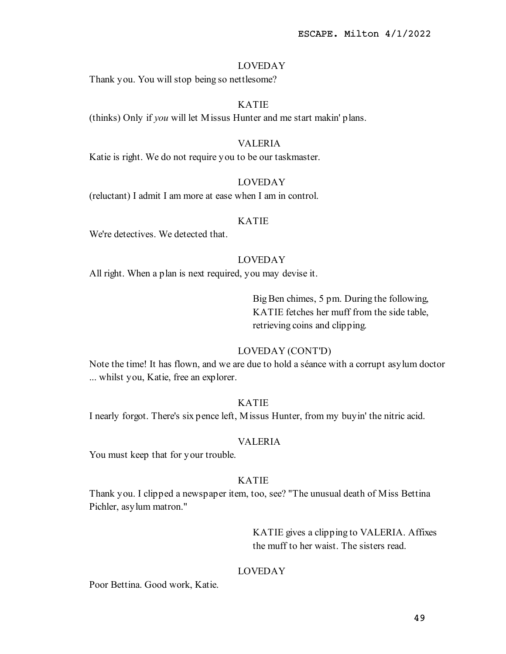Thank you. You will stop being so nettlesome?

# KATIE

(thinks) Only if you will let Missus Hunter and me start makin' plans.

### VALERIA

Katie is right. We do not require you to be our taskmaster.

# LOVEDAY

(reluctant) I admit I am more at ease when I am in control.

#### KATIE

We're detectives. We detected that.

# LOVEDAY

All right. When a plan is next required, you may devise it.

Big Ben chimes, 5 pm. During the following, KATIE fetches her muff from the side table, retrieving coins and clipping.

## LOVEDAY (CONT'D)

Note the time! It has flown, and we are due to hold a séance with a corrupt asylum doctor ... whilst you, Katie, free an explorer.

## KATIE

I nearly forgot. There's six pence left, Missus Hunter, from my buyin' the nitric acid.

### VALERIA

You must keep that for your trouble.

### KATIE

Thank you. I clipped a newspaper item, too, see? "The unusual death of Miss Bettina Pichler, asylum matron."

> KATIE gives a clipping to VALERIA. Affixes the muff to her waist. The sisters read.

### LOVEDAY

Poor Bettina. Good work, Katie.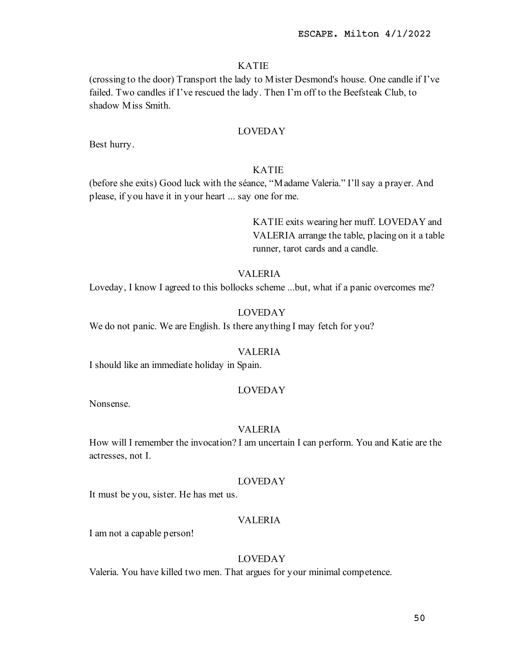(crossing to the door) Transport the lady to Mister Desmond's house. One candle if I've failed. Two candles if I've rescued the lady. Then I'm off to the Beefsteak Club, to shadow Miss Smith.

# LOVEDAY

Best hurry.

# KATIE

(before she exits) Good luck with the séance, "Madame Valeria." I'll say a prayer. And please, if you have it in your heart ... say one for me.

> KATIE exits wearing her muff. LOVEDAY and VALERIA arrange the table, placing on it a table runner, tarot cards and a candle.

# VALERIA

Loveday, I know I agreed to this bollocks scheme ...but, what if a panic overcomes me?

## LOVEDAY

We do not panic. We are English. Is there anything I may fetch for you?

#### VALERIA

I should like an immediate holiday in Spain.

# LOVEDAY

Nonsense.

#### VALERIA

How will I remember the invocation? I am uncertain I can perform. You and Katie are the actresses, not I.

### LOVEDAY

It must be you, sister. He has met us.

## VALERIA

I am not a capable person!

# LOVEDAY

Valeria. You have killed two men. That argues for your minimal competence.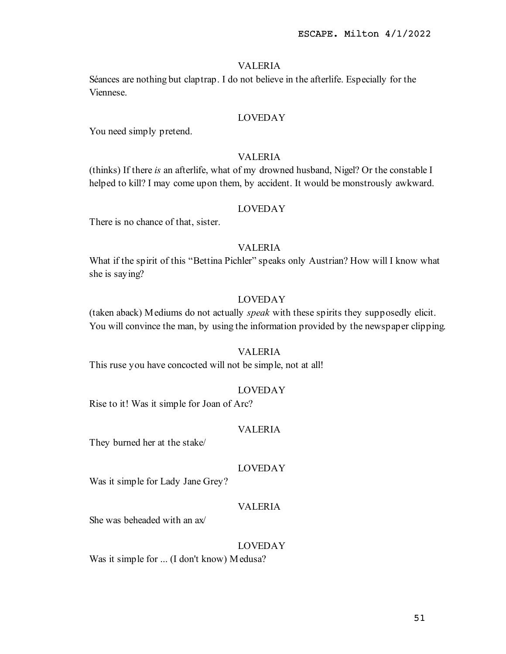# VALERIA

Séances are nothing but claptrap. I do not believe in the afterlife. Especially for the Viennese.

# LOVEDAY

You need simply pretend.

# VALERIA

(thinks) If there is an afterlife, what of my drowned husband, Nigel? Or the constable I helped to kill? I may come upon them, by accident. It would be monstrously awkward.

# LOVEDAY

There is no chance of that, sister.

# VALERIA

What if the spirit of this "Bettina Pichler" speaks only Austrian? How will I know what she is saying?

# LOVEDAY

(taken aback) Mediums do not actually speak with these spirits they supposedly elicit. You will convince the man, by using the information provided by the newspaper clipping.

# VALERIA

This ruse you have concocted will not be simple, not at all!

## LOVEDAY

Rise to it! Was it simple for Joan of Arc?

## VALERIA

They burned her at the stake/

# LOVEDAY

Was it simple for Lady Jane Grey?

# VALERIA

She was beheaded with an ax/

## LOVEDAY

Was it simple for ... (I don't know) Medusa?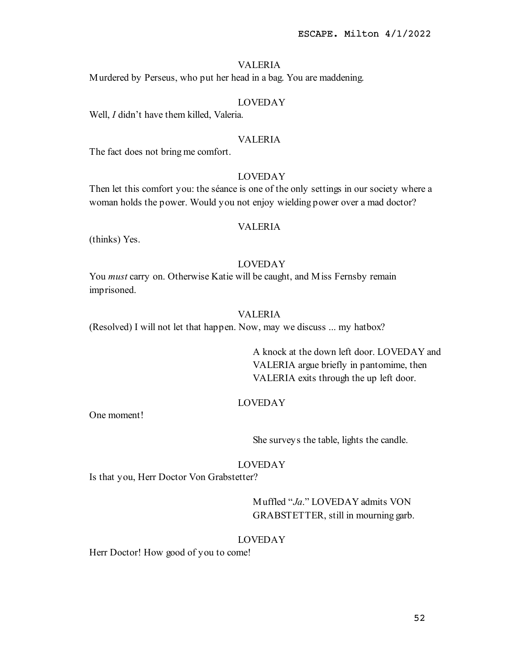# VALERIA

Murdered by Perseus, who put her head in a bag. You are maddening.

# LOVEDAY

Well, *I* didn't have them killed, Valeria.

### VALERIA

The fact does not bring me comfort.

### LOVEDAY

Then let this comfort you: the séance is one of the only settings in our society where a woman holds the power. Would you not enjoy wielding power over a mad doctor?

# VALERIA

(thinks) Yes.

# LOVEDAY

You *must* carry on. Otherwise Katie will be caught, and Miss Fernsby remain imprisoned.

# VALERIA

(Resolved) I will not let that happen. Now, may we discuss ... my hatbox?

A knock at the down left door. LOVEDAY and VALERIA argue briefly in pantomime, then VALERIA exits through the up left door.

#### LOVEDAY

One moment!

She surveys the table, lights the candle.

## LOVEDAY

Is that you, Herr Doctor Von Grabstetter?

Muffled "Ja." LOVEDAY admits VON GRABSTETTER, still in mourning garb.

#### LOVEDAY

Herr Doctor! How good of you to come!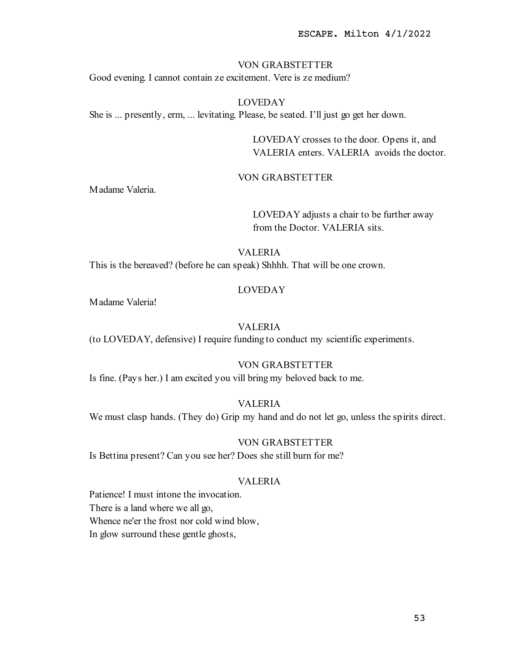#### VON GRABSTETTER

Good evening. I cannot contain ze excitement. Vere is ze medium?

# LOVEDAY She is ... presently, erm, ... levitating. Please, be seated. I'll just go get her down.

LOVEDAY crosses to the door. Opens it, and VALERIA enters. VALERIA avoids the doctor.

## VON GRABSTETTER

Madame Valeria.

LOVEDAY adjusts a chair to be further away from the Doctor. VALERIA sits.

## VALERIA

This is the bereaved? (before he can speak) Shhhh. That will be one crown.

#### LOVEDAY

Madame Valeria!

# VALERIA

(to LOVEDAY, defensive) I require funding to conduct my scientific experiments.

# VON GRABSTETTER

Is fine. (Pays her.) I am excited you vill bring my beloved back to me.

#### VALERIA

We must clasp hands. (They do) Grip my hand and do not let go, unless the spirits direct.

## VON GRABSTETTER

Is Bettina present? Can you see her? Does she still burn for me?

### VALERIA

Patience! I must intone the invocation. There is a land where we all go, Whence ne'er the frost nor cold wind blow, In glow surround these gentle ghosts,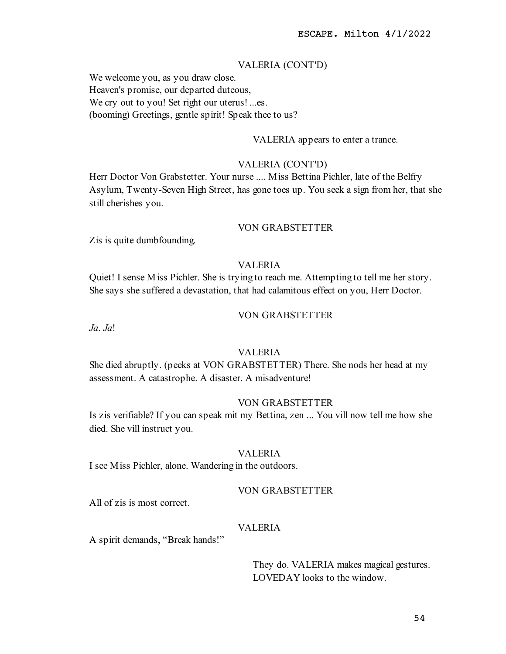# VALERIA (CONT'D)

We welcome you, as you draw close. Heaven's promise, our departed duteous, We cry out to you! Set right our uterus! ...es. (booming) Greetings, gentle spirit! Speak thee to us?

VALERIA appears to enter a trance.

### VALERIA (CONT'D)

Herr Doctor Von Grabstetter. Your nurse .... Miss Bettina Pichler, late of the Belfry Asylum, Twenty-Seven High Street, has gone toes up. You seek a sign from her, that she still cherishes you.

# VON GRABSTETTER

Zis is quite dumbfounding.

# VALERIA

Quiet! I sense Miss Pichler. She is trying to reach me. Attempting to tell me her story. She says she suffered a devastation, that had calamitous effect on you, Herr Doctor.

# VON GRABSTETTER

 $Ja. Ja!$ 

## VALERIA

She died abruptly. (peeks at VON GRABSTETTER) There. She nods her head at my assessment. A catastrophe. A disaster. A misadventure!

#### VON GRABSTETTER

Is zis verifiable? If you can speak mit my Bettina, zen ... You vill now tell me how she died. She vill instruct you.

## VALERIA

I see Miss Pichler, alone. Wandering in the outdoors.

### VON GRABSTETTER

All of zis is most correct.

## VALERIA

A spirit demands, "Break hands!"

They do. VALERIA makes magical gestures. LOVEDAY looks to the window.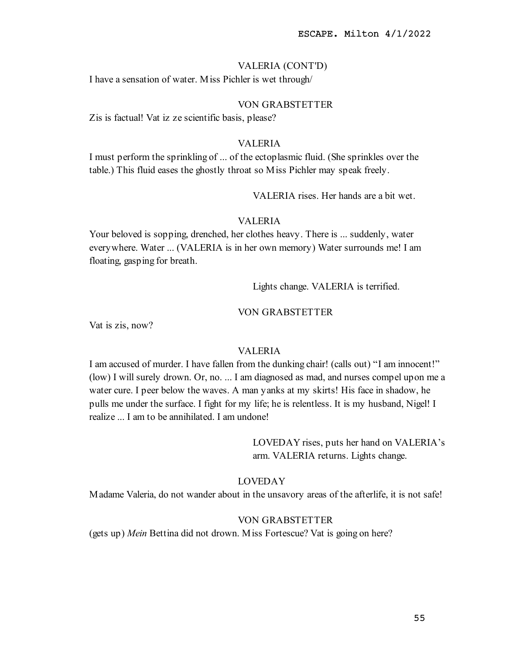## VALERIA (CONT'D)

I have a sensation of water. Miss Pichler is wet through/

# VON GRABSTETTER

Zis is factual! Vat iz ze scientific basis, please?

## VALERIA

I must perform the sprinkling of ... of the ectoplasmic fluid. (She sprinkles over the table.) This fluid eases the ghostly throat so Miss Pichler may speak freely.

VALERIA rises. Her hands are a bit wet.

## VALERIA

Your beloved is sopping, drenched, her clothes heavy. There is ... suddenly, water everywhere. Water ... (VALERIA is in her own memory) Water surrounds me! I am floating, gasping for breath.

Lights change. VALERIA is terrified.

#### VON GRABSTETTER

Vat is zis, now?

# VALERIA

I am accused of murder. I have fallen from the dunking chair! (calls out) "I am innocent!" (low) I will surely drown. Or, no. ... I am diagnosed as mad, and nurses compel upon me a water cure. I peer below the waves. A man yanks at my skirts! His face in shadow, he pulls me under the surface. I fight for my life; he is relentless. It is my husband, Nigel! I realize ... I am to be annihilated. I am undone!

> LOVEDAY rises, puts her hand on VALERIA's arm. VALERIA returns. Lights change.

### LOVEDAY

Madame Valeria, do not wander about in the unsavory areas of the afterlife, it is not safe!

# VON GRABSTETTER

(gets up) Mein Bettina did not drown. Miss Fortescue? Vat is going on here?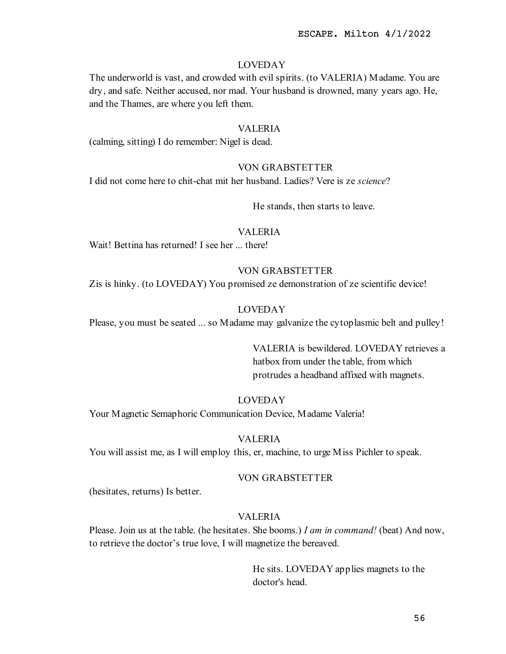The underworld is vast, and crowded with evil spirits. (to VALERIA) Madame. You are dry, and safe. Neither accused, nor mad. Your husband is drowned, many years ago. He, and the Thames, are where you left them.

### VALERIA

(calming, sitting) I do remember: Nigel is dead.

## VON GRABSTETTER

I did not come here to chit-chat mit her husband. Ladies? Vere is ze science?

He stands, then starts to leave.

# VALERIA

Wait! Bettina has returned! I see her ... there!

## VON GRABSTETTER

Zis is hinky. (to LOVEDAY) You promised ze demonstration of ze scientific device!

## LOVEDAY

Please, you must be seated ... so Madame may galvanize the cytoplasmic belt and pulley!

VALERIA is bewildered. LOVEDAY retrieves a hatbox from under the table, from which protrudes a headband affixed with magnets.

## LOVEDAY

Your Magnetic Semaphoric Communication Device, Madame Valeria!

#### VALERIA

You will assist me, as I will employ this, er, machine, to urge Miss Pichler to speak.

## VON GRABSTETTER

(hesitates, returns) Is better.

### VALERIA

Please. Join us at the table. (he hesitates. She booms.) I am in command! (beat) And now, to retrieve the doctor's true love, I will magnetize the bereaved.

> He sits. LOVEDAY applies magnets to the doctor's head.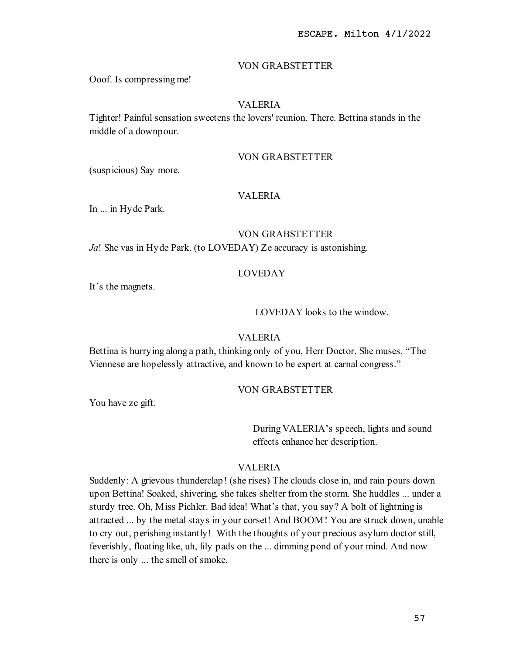### VON GRABSTETTER

Ooof. Is compressing me!

# VALERIA

Tighter! Painful sensation sweetens the lovers' reunion. There. Bettina stands in the middle of a downpour.

# VON GRABSTETTER

(suspicious) Say more.

# VALERIA

In ... in Hyde Park.

# VON GRABSTETTER

Ja! She vas in Hyde Park. (to LOVEDAY) Ze accuracy is astonishing.

## LOVEDAY

It's the magnets.

LOVEDAY looks to the window.

# VALERIA

Bettina is hurrying along a path, thinking only of you, Herr Doctor. She muses, "The Viennese are hopelessly attractive, and known to be expert at carnal congress."

#### VON GRABSTETTER

You have ze gift.

During VALERIA's speech, lights and sound effects enhance her description.

# VALERIA

Suddenly: A grievous thunderclap! (she rises) The clouds close in, and rain pours down upon Bettina! Soaked, shivering, she takes shelter from the storm. She huddles ... under a sturdy tree. Oh, Miss Pichler. Bad idea! What's that, you say? A bolt of lightning is attracted ... by the metal stays in your corset! And BOOM! You are struck down, unable to cry out, perishing instantly! With the thoughts of your precious asylum doctor still, feverishly, floating like, uh, lily pads on the ... dimming pond of your mind. And now there is only ... the smell of smoke.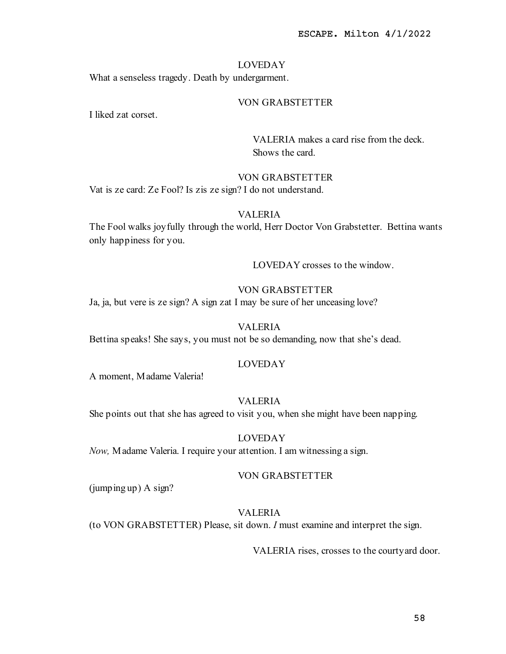What a senseless tragedy. Death by undergarment.

# VON GRABSTETTER

I liked zat corset.

VALERIA makes a card rise from the deck. Shows the card.

## VON GRABSTETTER

Vat is ze card: Ze Fool? Is zis ze sign? I do not understand.

# VALERIA

The Fool walks joyfully through the world, Herr Doctor Von Grabstetter. Bettina wants only happiness for you.

LOVEDAY crosses to the window.

# VON GRABSTETTER

Ja, ja, but vere is ze sign? A sign zat I may be sure of her unceasing love?

# VALERIA

Bettina speaks! She says, you must not be so demanding, now that she's dead.

### LOVEDAY

A moment, Madame Valeria!

# VALERIA

She points out that she has agreed to visit you, when she might have been napping.

# LOVEDAY

Now, Madame Valeria. I require your attention. I am witnessing a sign.

### VON GRABSTETTER

(jumping up) A sign?

#### VALERIA

(to VON GRABSTETTER) Please, sit down. I must examine and interpret the sign.

VALERIA rises, crosses to the courtyard door.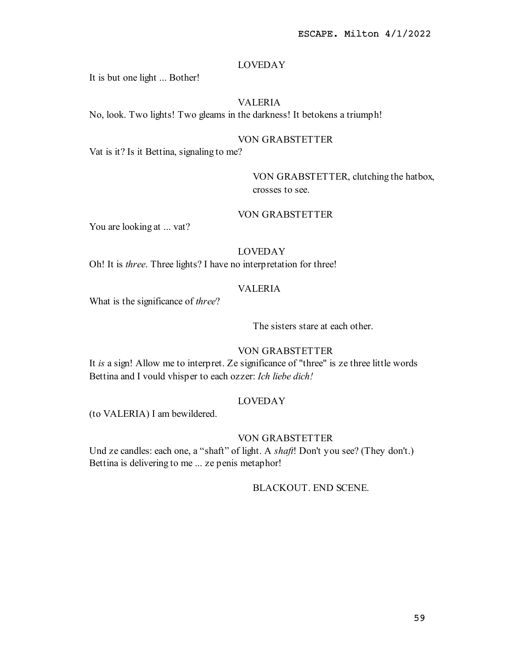It is but one light ... Bother!

# VALERIA

No, look. Two lights! Two gleams in the darkness! It betokens a triumph!

# VON GRABSTETTER

Vat is it? Is it Bettina, signaling to me?

# VON GRABSTETTER, clutching the hatbox, crosses to see.

# VON GRABSTETTER

You are looking at ... vat?

# LOVEDAY

Oh! It is three. Three lights? I have no interpretation for three!

## VALERIA

What is the significance of three?

The sisters stare at each other.

# VON GRABSTETTER

It is a sign! Allow me to interpret. Ze significance of "three" is ze three little words Bettina and I vould vhisper to each ozzer: Ich liebe dich!

# LOVEDAY

(to VALERIA) I am bewildered.

# VON GRABSTETTER

Und ze candles: each one, a "shaft" of light. A shaft! Don't you see? (They don't.) Bettina is delivering to me ... ze penis metaphor!

# BLACKOUT. END SCENE.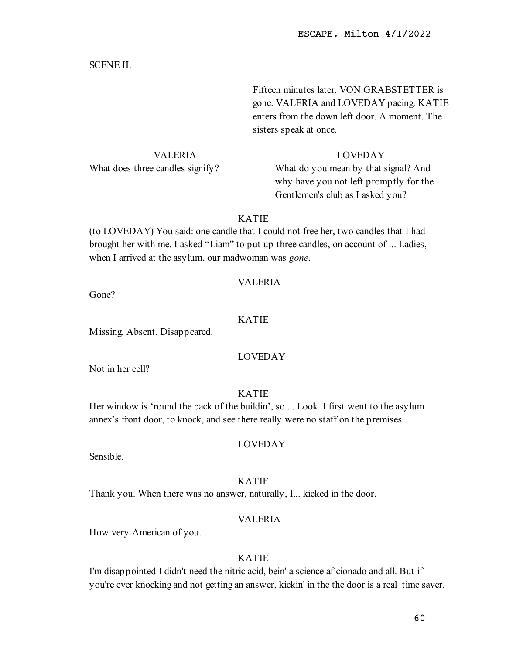## SCENE II.

Fifteen minutes later. VON GRABSTETTER is gone. VALERIA and LOVEDAY pacing. KATIE enters from the down left door. A moment. The sisters speak at once.

VALERIA

# LOVEDAY

What does three candles signify?

What do you mean by that signal? And why have you not left promptly for the Gentlemen's club as I asked you?

# KATIE

(to LOVEDAY) You said: one candle that I could not free her, two candles that I had brought her with me. I asked "Liam" to put up three candles, on account of ... Ladies, when I arrived at the asylum, our madwoman was *gone*.

## VALERIA

Gone?

# KATIE

Missing. Absent. Disappeared.

## LOVEDAY

Not in her cell?

# KATIE

Her window is 'round the back of the buildin', so ... Look. I first went to the asylum annex's front door, to knock, and see there really were no staff on the premises.

#### LOVEDAY

Sensible.

## KATIE

Thank you. When there was no answer, naturally, I... kicked in the door.

# VALERIA

How very American of you.

## KATIE

I'm disappointed I didn't need the nitric acid, bein' a science aficionado and all. But if you're ever knocking and not getting an answer, kickin' in the the door is a real time saver.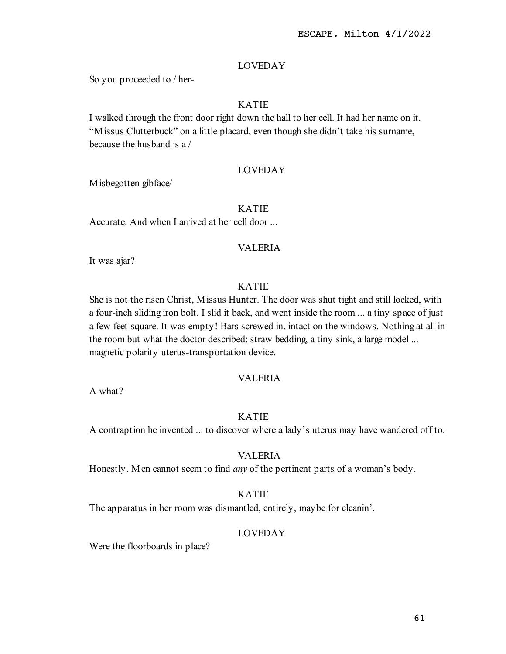So you proceeded to / her-

# KATIE

I walked through the front door right down the hall to her cell. It had her name on it. "Missus Clutterbuck" on a little placard, even though she didn't take his surname, because the husband is a /

## LOVEDAY

Misbegotten gibface/

# KATIE

Accurate. And when I arrived at her cell door ...

# VALERIA

It was ajar?

# KATIE

She is not the risen Christ, Missus Hunter. The door was shut tight and still locked, with a four-inch sliding iron bolt. I slid it back, and went inside the room ... a tiny space of just a few feet square. It was empty! Bars screwed in, intact on the windows. Nothing at all in the room but what the doctor described: straw bedding, a tiny sink, a large model ... magnetic polarity uterus-transportation device.

## VALERIA

A what?

## KATIE

A contraption he invented ... to discover where a lady's uterus may have wandered off to.

### VALERIA

Honestly. Men cannot seem to find *any* of the pertinent parts of a woman's body.

## KATIE

The apparatus in her room was dismantled, entirely, maybe for cleanin'.

## LOVEDAY

Were the floorboards in place?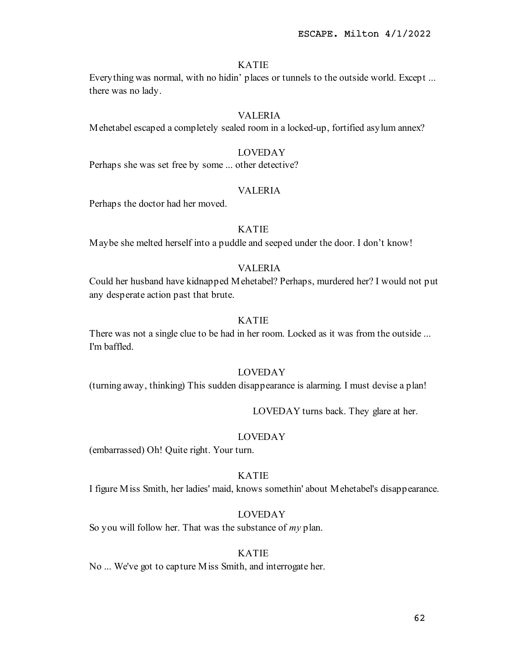Everything was normal, with no hidin' places or tunnels to the outside world. Except ... there was no lady.

## VALERIA

Mehetabel escaped a completely sealed room in a locked-up, fortified asylum annex?

## LOVEDAY

Perhaps she was set free by some ... other detective?

## VALERIA

Perhaps the doctor had her moved.

# KATIE

Maybe she melted herself into a puddle and seeped under the door. I don't know!

# VALERIA

Could her husband have kidnapped Mehetabel? Perhaps, murdered her? I would not put any desperate action past that brute.

# KATIE

There was not a single clue to be had in her room. Locked as it was from the outside ... I'm baffled.

#### LOVEDAY

(turning away, thinking) This sudden disappearance is alarming. I must devise a plan!

LOVEDAY turns back. They glare at her.

## LOVEDAY

(embarrassed) Oh! Quite right. Your turn.

# KATIE

I figure Miss Smith, her ladies' maid, knows somethin' about Mehetabel's disappearance.

#### LOVEDAY

So you will follow her. That was the substance of  $my$  plan.

#### KATIE

No ... We've got to capture Miss Smith, and interrogate her.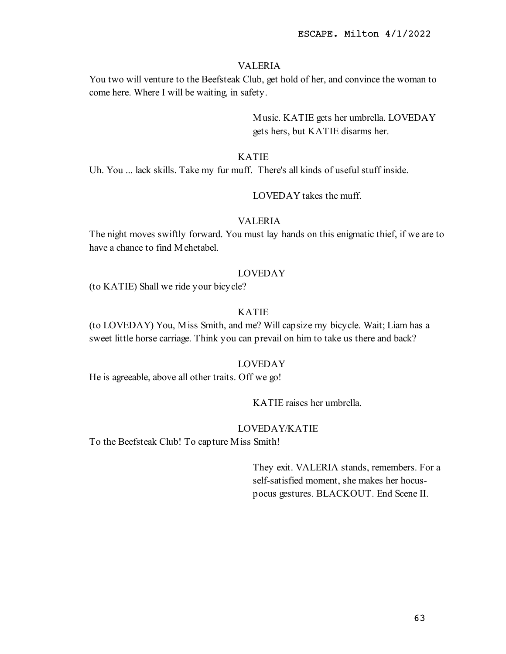# VALERIA

You two will venture to the Beefsteak Club, get hold of her, and convince the woman to come here. Where I will be waiting, in safety.

> Music. KATIE gets her umbrella. LOVEDAY gets hers, but KATIE disarms her.

# KATIE

Uh. You ... lack skills. Take my fur muff. There's all kinds of useful stuff inside.

LOVEDAY takes the muff.

## VALERIA

The night moves swiftly forward. You must lay hands on this enigmatic thief, if we are to have a chance to find Mehetabel.

## LOVEDAY

(to KATIE) Shall we ride your bicycle?

## KATIE

(to LOVEDAY) You, Miss Smith, and me? Will capsize my bicycle. Wait; Liam has a sweet little horse carriage. Think you can prevail on him to take us there and back?

## LOVEDAY

He is agreeable, above all other traits. Off we go!

KATIE raises her umbrella.

# LOVEDAY/KATIE

To the Beefsteak Club! To capture Miss Smith!

They exit. VALERIA stands, remembers. For a self-satisfied moment, she makes her hocuspocus gestures. BLACKOUT. End Scene II.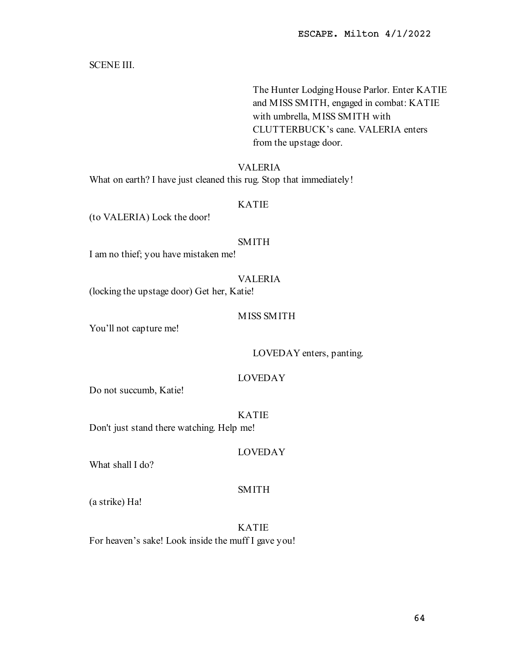SCENE III.

The Hunter Lodging House Parlor. Enter KATIE and MISS SMITH, engaged in combat: KATIE with umbrella, MISS SMITH with CLUTTERBUCK's cane. VALERIA enters from the upstage door.

# VALERIA

What on earth? I have just cleaned this rug. Stop that immediately!

# KATIE

(to VALERIA) Lock the door!

# SMITH

I am no thief; you have mistaken me!

# VALERIA

(locking the upstage door) Get her, Katie!

## MISS SMITH

You'll not capture me!

## LOVEDAY enters, panting.

## LOVEDAY

Do not succumb, Katie!

# KATIE

Don't just stand there watching. Help me!

## LOVEDAY

What shall I do?

# SMITH

(a strike) Ha!

KATIE For heaven's sake! Look inside the muff I gave you!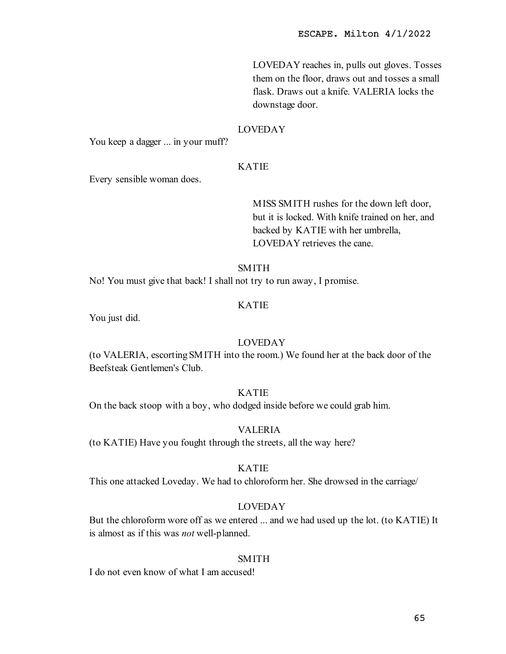LOVEDAY reaches in, pulls out gloves. Tosses them on the floor, draws out and tosses a small flask. Draws out a knife. VALERIA locks the downstage door.

### LOVEDAY

You keep a dagger ... in your muff?

## KATIE

Every sensible woman does.

MISS SMITH rushes for the down left door, but it is locked. With knife trained on her, and backed by KATIE with her umbrella, LOVEDAY retrieves the cane.

## **SMITH**

No! You must give that back! I shall not try to run away, I promise.

# KATIE

You just did.

### LOVEDAY

(to VALERIA, escorting SMITH into the room.) We found her at the back door of the Beefsteak Gentlemen's Club.

## KATIE

On the back stoop with a boy, who dodged inside before we could grab him.

#### VALERIA

(to KATIE) Have you fought through the streets, all the way here?

# KATIE

This one attacked Loveday. We had to chloroform her. She drowsed in the carriage/

# LOVEDAY

But the chloroform wore off as we entered ... and we had used up the lot. (to KATIE) It is almost as if this was not well-planned.

# SMITH

I do not even know of what I am accused!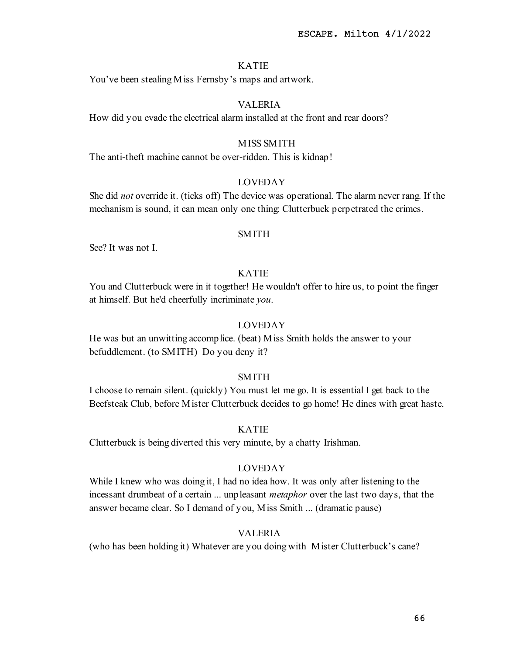You've been stealing Miss Fernsby's maps and artwork.

# VALERIA

How did you evade the electrical alarm installed at the front and rear doors?

## MISS SMITH

The anti-theft machine cannot be over-ridden. This is kidnap!

# LOVEDAY

She did *not* override it. (ticks off) The device was operational. The alarm never rang. If the mechanism is sound, it can mean only one thing: Clutterbuck perpetrated the crimes.

#### SMITH

See? It was not I.

# KATIE

You and Clutterbuck were in it together! He wouldn't offer to hire us, to point the finger at himself. But he'd cheerfully incriminate you.

## LOVEDAY

He was but an unwitting accomplice. (beat) Miss Smith holds the answer to your befuddlement. (to SMITH) Do you deny it?

### SMITH

I choose to remain silent. (quickly) You must let me go. It is essential I get back to the Beefsteak Club, before Mister Clutterbuck decides to go home! He dines with great haste.

## KATIE

Clutterbuck is being diverted this very minute, by a chatty Irishman.

# LOVEDAY

While I knew who was doing it, I had no idea how. It was only after listening to the incessant drumbeat of a certain ... unpleasant *metaphor* over the last two days, that the answer became clear. So I demand of you, Miss Smith ... (dramatic pause)

## VALERIA

(who has been holding it) Whatever are you doing with Mister Clutterbuck's cane?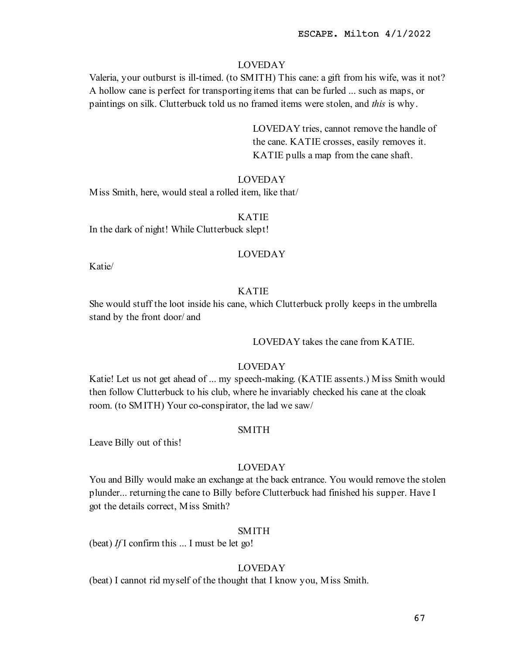Valeria, your outburst is ill-timed. (to SMITH) This cane: a gift from his wife, was it not? A hollow cane is perfect for transporting items that can be furled ... such as maps, or paintings on silk. Clutterbuck told us no framed items were stolen, and this is why.

> LOVEDAY tries, cannot remove the handle of the cane. KATIE crosses, easily removes it. KATIE pulls a map from the cane shaft.

#### LOVEDAY

Miss Smith, here, would steal a rolled item, like that/

#### KATIE

In the dark of night! While Clutterbuck slept!

## LOVEDAY

Katie/

# KATIE

She would stuff the loot inside his cane, which Clutterbuck prolly keeps in the umbrella stand by the front door/ and

LOVEDAY takes the cane from KATIE.

### LOVEDAY

Katie! Let us not get ahead of ... my speech-making. (KATIE assents.) Miss Smith would then follow Clutterbuck to his club, where he invariably checked his cane at the cloak room. (to SMITH) Your co-conspirator, the lad we saw/

#### SMITH

Leave Billy out of this!

### LOVEDAY

You and Billy would make an exchange at the back entrance. You would remove the stolen plunder... returning the cane to Billy before Clutterbuck had finished his supper. Have I got the details correct, Miss Smith?

### SMITH

(beat) If I confirm this  $\ldots$  I must be let go!

## LOVEDAY

(beat) I cannot rid myself of the thought that I know you, Miss Smith.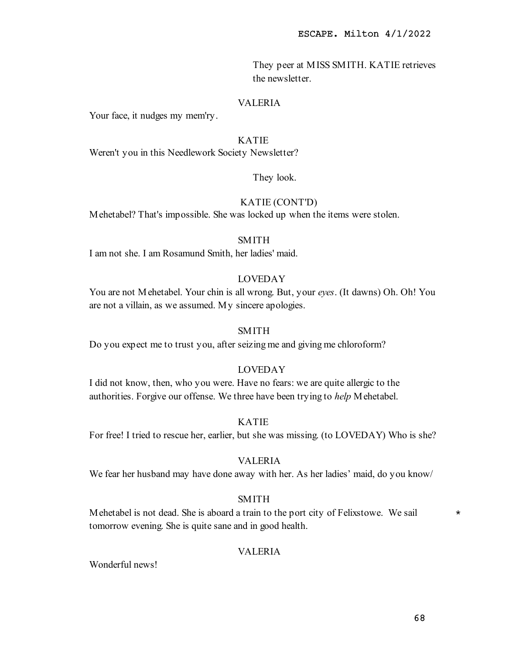They peer at MISS SMITH. KATIE retrieves the newsletter.

# VALERIA

Your face, it nudges my mem'ry.

# KATIE

Weren't you in this Needlework Society Newsletter?

# They look.

# KATIE (CONT'D)

Mehetabel? That's impossible. She was locked up when the items were stolen.

## SMITH

I am not she. I am Rosamund Smith, her ladies' maid.

# LOVEDAY

You are not Mehetabel. Your chin is all wrong. But, your eyes. (It dawns) Oh. Oh! You are not a villain, as we assumed. My sincere apologies.

## SMITH

Do you expect me to trust you, after seizing me and giving me chloroform?

# LOVEDAY

I did not know, then, who you were. Have no fears: we are quite allergic to the authorities. Forgive our offense. We three have been trying to *help* Mehetabel.

# KATIE

For free! I tried to rescue her, earlier, but she was missing. (to LOVEDAY) Who is she?

## VALERIA

We fear her husband may have done away with her. As her ladies' maid, do you know/

## SMITH

Mehetabel is not dead. She is aboard a train to the port city of Felixstowe. We sail  $*$ tomorrow evening. She is quite sane and in good health.

## VALERIA

Wonderful news!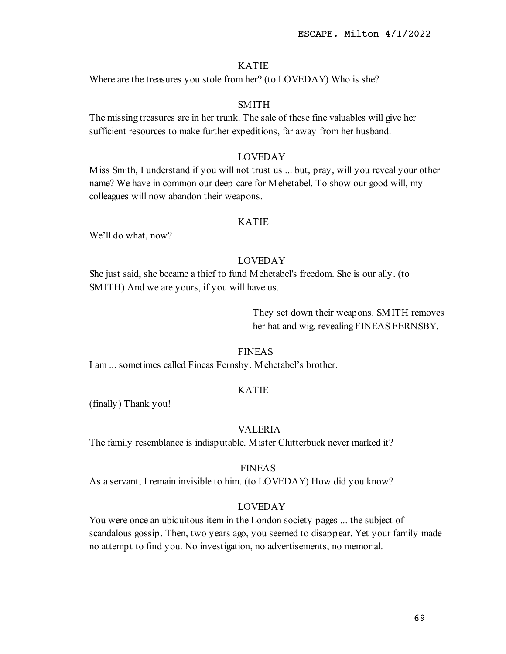Where are the treasures you stole from her? (to LOVEDAY) Who is she?

## SMITH

The missing treasures are in her trunk. The sale of these fine valuables will give her sufficient resources to make further expeditions, far away from her husband.

# LOVEDAY

Miss Smith, I understand if you will not trust us ... but, pray, will you reveal your other name? We have in common our deep care for Mehetabel. To show our good will, my colleagues will now abandon their weapons.

## KATIE

We'll do what, now?

# LOVEDAY

She just said, she became a thief to fund Mehetabel's freedom. She is our ally. (to SMITH) And we are yours, if you will have us.

> They set down their weapons. SMITH removes her hat and wig, revealing FINEAS FERNSBY.

#### FINEAS

I am ... sometimes called Fineas Fernsby. Mehetabel's brother.

#### KATIE

(finally) Thank you!

## VALERIA

The family resemblance is indisputable. Mister Clutterbuck never marked it?

### FINEAS

As a servant, I remain invisible to him. (to LOVEDAY) How did you know?

### LOVEDAY

You were once an ubiquitous item in the London society pages ... the subject of scandalous gossip. Then, two years ago, you seemed to disappear. Yet your family made no attempt to find you. No investigation, no advertisements, no memorial.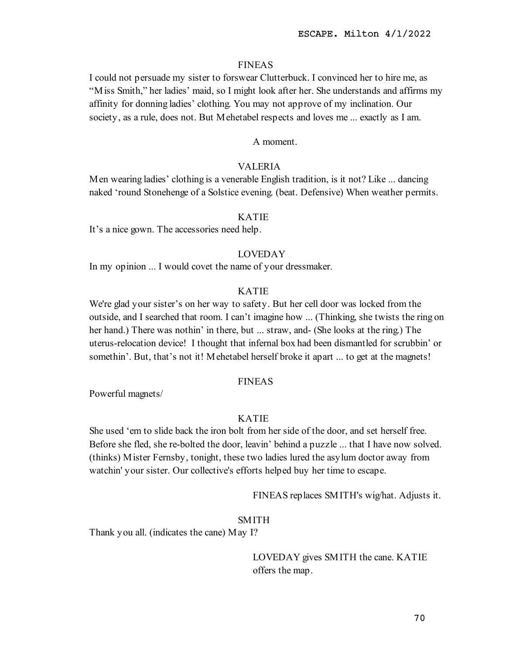#### FINEAS

I could not persuade my sister to forswear Clutterbuck. I convinced her to hire me, as "Miss Smith," her ladies' maid, so I might look after her. She understands and affirms my affinity for donning ladies' clothing. You may not approve of my inclination. Our society, as a rule, does not. But Mehetabel respects and loves me ... exactly as I am.

A moment.

### VALERIA

Men wearing ladies' clothing is a venerable English tradition, is it not? Like ... dancing naked 'round Stonehenge of a Solstice evening. (beat. Defensive) When weather permits.

#### KATIE

It's a nice gown. The accessories need help.

# LOVEDAY

In my opinion ... I would covet the name of your dressmaker.

# KATIE

We're glad your sister's on her way to safety. But her cell door was locked from the outside, and I searched that room. I can't imagine how ... (Thinking, she twists the ring on her hand.) There was nothin' in there, but ... straw, and- (She looks at the ring.) The uterus-relocation device! I thought that infernal box had been dismantled for scrubbin' or somethin'. But, that's not it! Mehetabel herself broke it apart ... to get at the magnets!

## FINEAS

Powerful magnets/

# KATIE

She used 'em to slide back the iron bolt from her side of the door, and set herself free. Before she fled, she re-bolted the door, leavin' behind a puzzle ... that I have now solved. (thinks) Mister Fernsby, tonight, these two ladies lured the asylum doctor away from watchin' your sister. Our collective's efforts helped buy her time to escape.

FINEAS replaces SMITH's wig/hat. Adjusts it.

#### SMITH

Thank you all. (indicates the cane) May I?

LOVEDAY gives SMITH the cane. KATIE offers the map.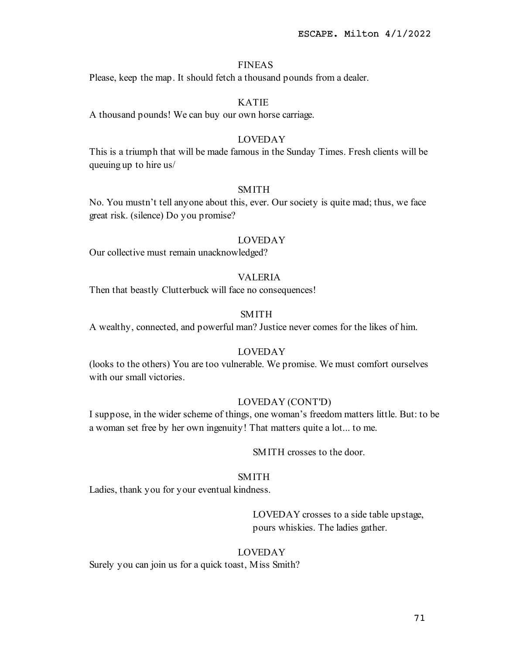## FINEAS

Please, keep the map. It should fetch a thousand pounds from a dealer.

## KATIE

A thousand pounds! We can buy our own horse carriage.

## LOVEDAY

This is a triumph that will be made famous in the Sunday Times. Fresh clients will be queuing up to hire us/

### SMITH

No. You mustn't tell anyone about this, ever. Our society is quite mad; thus, we face great risk. (silence) Do you promise?

#### LOVEDAY

Our collective must remain unacknowledged?

## VALERIA

Then that beastly Clutterbuck will face no consequences!

# SMITH

A wealthy, connected, and powerful man? Justice never comes for the likes of him.

# LOVEDAY

(looks to the others) You are too vulnerable. We promise. We must comfort ourselves with our small victories.

#### LOVEDAY (CONT'D)

I suppose, in the wider scheme of things, one woman's freedom matters little. But: to be a woman set free by her own ingenuity! That matters quite a lot... to me.

SMITH crosses to the door.

## SMITH

Ladies, thank you for your eventual kindness.

LOVEDAY crosses to a side table upstage, pours whiskies. The ladies gather.

#### LOVEDAY

Surely you can join us for a quick toast, Miss Smith?